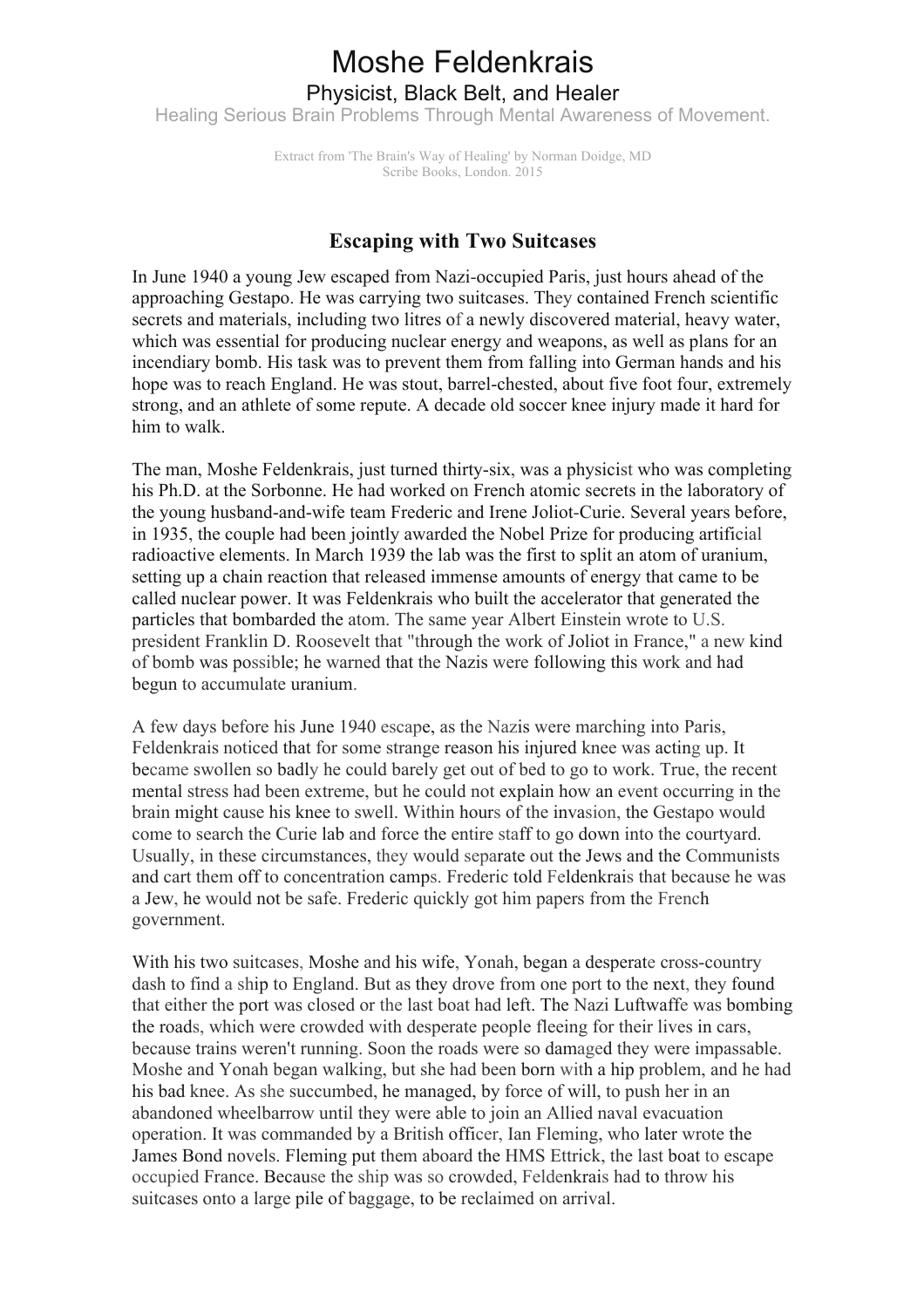# Moshe Feldenkrais

Physicist, Black Belt, and Healer

Healing Serious Brain Problems Through Mental Awareness of Movement.

Extract from 'The Brain's Way of Healing' by Norman Doidge, MD Scribe Books, London. 2015

### **Escaping with Two Suitcases**

In June 1940 a young Jew escaped from Nazi-occupied Paris, just hours ahead of the approaching Gestapo. He was carrying two suitcases. They contained French scientific secrets and materials, including two litres of a newly discovered material, heavy water, which was essential for producing nuclear energy and weapons, as well as plans for an incendiary bomb. His task was to prevent them from falling into German hands and his hope was to reach England. He was stout, barrel-chested, about five foot four, extremely strong, and an athlete of some repute. A decade old soccer knee injury made it hard for him to walk.

The man, Moshe Feldenkrais, just turned thirty-six, was a physicist who was completing his Ph.D. at the Sorbonne. He had worked on French atomic secrets in the laboratory of the young husband-and-wife team Frederic and Irene Joliot-Curie. Several years before, in 1935, the couple had been jointly awarded the Nobel Prize for producing artificial radioactive elements. In March 1939 the lab was the first to split an atom of uranium, setting up a chain reaction that released immense amounts of energy that came to be called nuclear power. It was Feldenkrais who built the accelerator that generated the particles that bombarded the atom. The same year Albert Einstein wrote to U.S. president Franklin D. Roosevelt that "through the work of Joliot in France," a new kind of bomb was possible; he warned that the Nazis were following this work and had begun to accumulate uranium.

A few days before his June 1940 escape, as the Nazis were marching into Paris, Feldenkrais noticed that for some strange reason his injured knee was acting up. It became swollen so badly he could barely get out of bed to go to work. True, the recent mental stress had been extreme, but he could not explain how an event occurring in the brain might cause his knee to swell. Within hours of the invasion, the Gestapo would come to search the Curie lab and force the entire staff to go down into the courtyard. Usually, in these circumstances, they would separate out the Jews and the Communists and cart them off to concentration camps. Frederic told Feldenkrais that because he was a Jew, he would not be safe. Frederic quickly got him papers from the French government.

With his two suitcases, Moshe and his wife, Yonah, began a desperate cross-country dash to find a ship to England. But as they drove from one port to the next, they found that either the port was closed or the last boat had left. The Nazi Luftwaffe was bombing the roads, which were crowded with desperate people fleeing for their lives in cars, because trains weren't running. Soon the roads were so damaged they were impassable. Moshe and Yonah began walking, but she had been born with a hip problem, and he had his bad knee. As she succumbed, he managed, by force of will, to push her in an abandoned wheelbarrow until they were able to join an Allied naval evacuation operation. It was commanded by a British officer, Ian Fleming, who later wrote the James Bond novels. Fleming put them aboard the HMS Ettrick, the last boat to escape occupied France. Because the ship was so crowded, Feldenkrais had to throw his suitcases onto a large pile of baggage, to be reclaimed on arrival.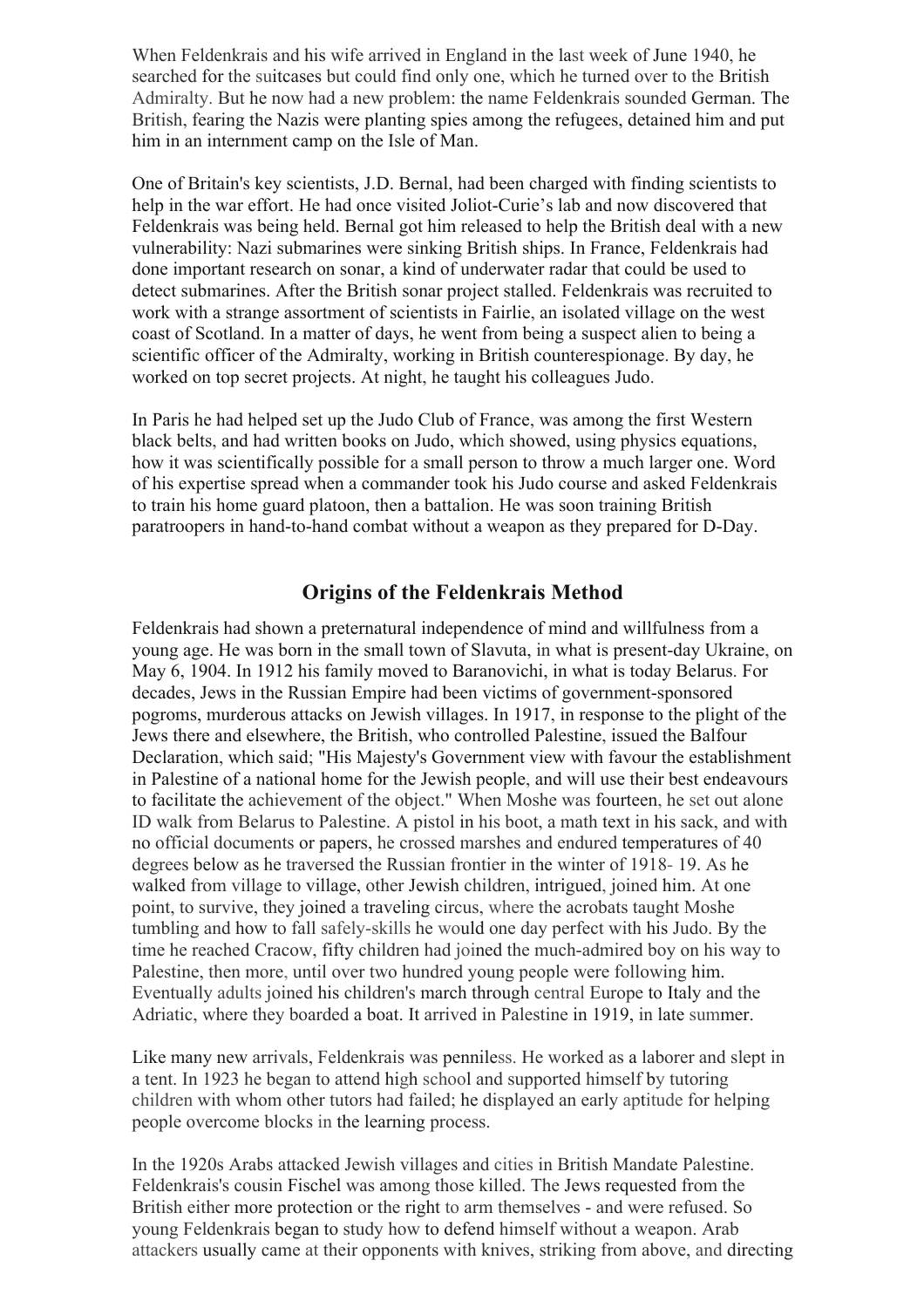When Feldenkrais and his wife arrived in England in the last week of June 1940, he searched for the suitcases but could find only one, which he turned over to the British Admiralty. But he now had a new problem: the name Feldenkrais sounded German. The British, fearing the Nazis were planting spies among the refugees, detained him and put him in an internment camp on the Isle of Man.

One of Britain's key scientists, J.D. Bernal, had been charged with finding scientists to help in the war effort. He had once visited Joliot-Curie's lab and now discovered that Feldenkrais was being held. Bernal got him released to help the British deal with a new vulnerability: Nazi submarines were sinking British ships. In France, Feldenkrais had done important research on sonar, a kind of underwater radar that could be used to detect submarines. After the British sonar project stalled. Feldenkrais was recruited to work with a strange assortment of scientists in Fairlie, an isolated village on the west coast of Scotland. In a matter of days, he went from being a suspect alien to being a scientific officer of the Admiralty, working in British counterespionage. By day, he worked on top secret projects. At night, he taught his colleagues Judo.

In Paris he had helped set up the Judo Club of France, was among the first Western black belts, and had written books on Judo, which showed, using physics equations, how it was scientifically possible for a small person to throw a much larger one. Word of his expertise spread when a commander took his Judo course and asked Feldenkrais to train his home guard platoon, then a battalion. He was soon training British paratroopers in hand-to-hand combat without a weapon as they prepared for D-Day.

### **Origins of the Feldenkrais Method**

Feldenkrais had shown a preternatural independence of mind and willfulness from a young age. He was born in the small town of Slavuta, in what is present-day Ukraine, on May 6, 1904. In 1912 his family moved to Baranovichi, in what is today Belarus. For decades, Jews in the Russian Empire had been victims of government-sponsored pogroms, murderous attacks on Jewish villages. In 1917, in response to the plight of the Jews there and elsewhere, the British, who controlled Palestine, issued the Balfour Declaration, which said; "His Majesty's Government view with favour the establishment in Palestine of a national home for the Jewish people, and will use their best endeavours to facilitate the achievement of the object." When Moshe was fourteen, he set out alone ID walk from Belarus to Palestine. A pistol in his boot, a math text in his sack, and with no official documents or papers, he crossed marshes and endured temperatures of 40 degrees below as he traversed the Russian frontier in the winter of 1918- 19. As he walked from village to village, other Jewish children, intrigued, joined him. At one point, to survive, they joined a traveling circus, where the acrobats taught Moshe tumbling and how to fall safely-skills he would one day perfect with his Judo. By the time he reached Cracow, fifty children had joined the much-admired boy on his way to Palestine, then more, until over two hundred young people were following him. Eventually adults joined his children's march through central Europe to Italy and the Adriatic, where they boarded a boat. It arrived in Palestine in 1919, in late summer.

Like many new arrivals, Feldenkrais was penniless. He worked as a laborer and slept in a tent. In 1923 he began to attend high school and supported himself by tutoring children with whom other tutors had failed; he displayed an early aptitude for helping people overcome blocks in the learning process.

In the 1920s Arabs attacked Jewish villages and cities in British Mandate Palestine. Feldenkrais's cousin Fischel was among those killed. The Jews requested from the British either more protection or the right to arm themselves - and were refused. So young Feldenkrais began to study how to defend himself without a weapon. Arab attackers usually came at their opponents with knives, striking from above, and directing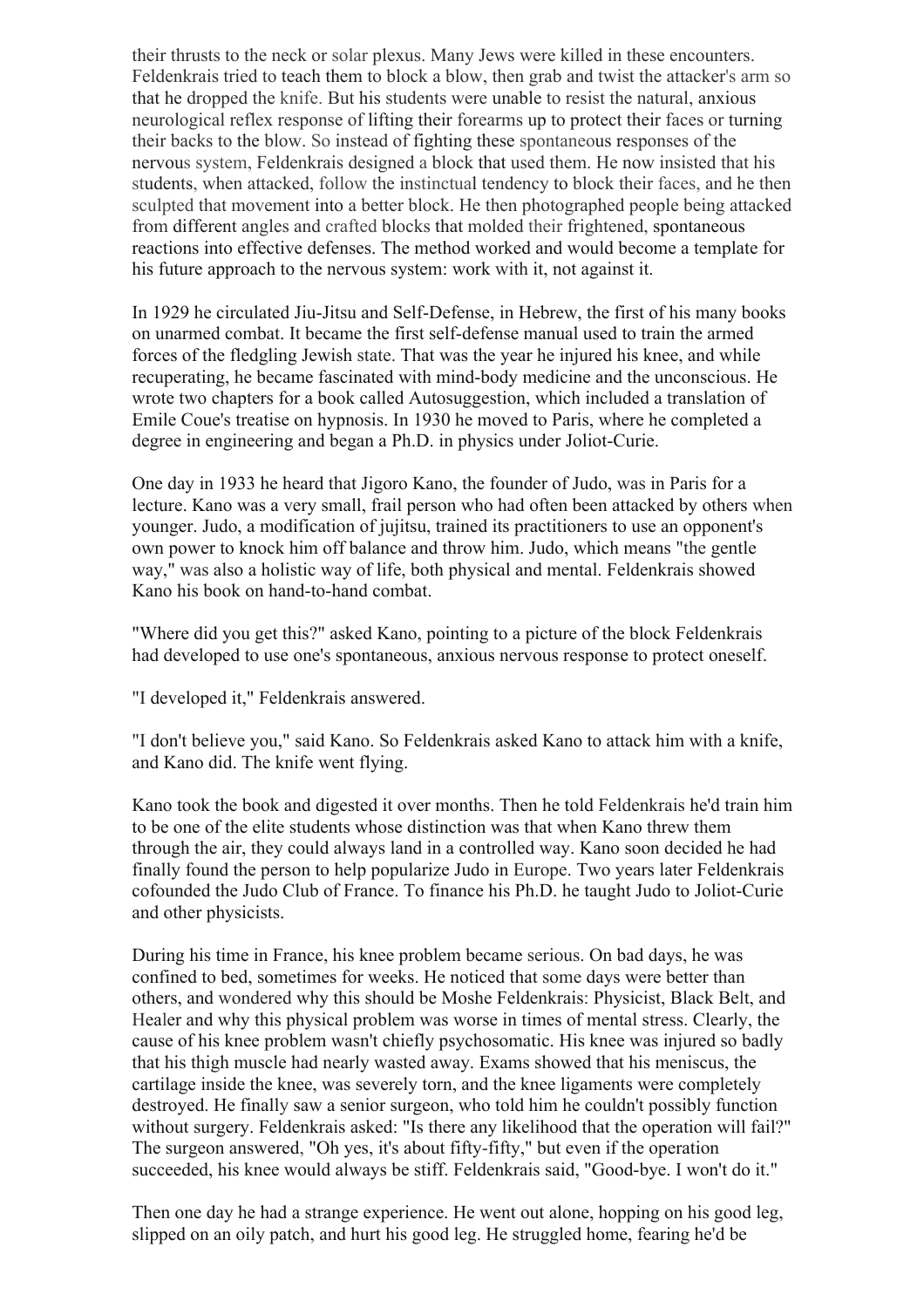their thrusts to the neck or solar plexus. Many Jews were killed in these encounters. Feldenkrais tried to teach them to block a blow, then grab and twist the attacker's arm so that he dropped the knife. But his students were unable to resist the natural, anxious neurological reflex response of lifting their forearms up to protect their faces or turning their backs to the blow. So instead of fighting these spontaneous responses of the nervous system, Feldenkrais designed a block that used them. He now insisted that his students, when attacked, follow the instinctual tendency to block their faces, and he then sculpted that movement into a better block. He then photographed people being attacked from different angles and crafted blocks that molded their frightened, spontaneous reactions into effective defenses. The method worked and would become a template for his future approach to the nervous system: work with it, not against it.

In 1929 he circulated Jiu-Jitsu and Self-Defense, in Hebrew, the first of his many books on unarmed combat. It became the first self-defense manual used to train the armed forces of the fledgling Jewish state. That was the year he injured his knee, and while recuperating, he became fascinated with mind-body medicine and the unconscious. He wrote two chapters for a book called Autosuggestion, which included a translation of Emile Coue's treatise on hypnosis. In 1930 he moved to Paris, where he completed a degree in engineering and began a Ph.D. in physics under Joliot-Curie.

One day in 1933 he heard that Jigoro Kano, the founder of Judo, was in Paris for a lecture. Kano was a very small, frail person who had often been attacked by others when younger. Judo, a modification of jujitsu, trained its practitioners to use an opponent's own power to knock him off balance and throw him. Judo, which means "the gentle way," was also a holistic way of life, both physical and mental. Feldenkrais showed Kano his book on hand-to-hand combat.

"Where did you get this?" asked Kano, pointing to a picture of the block Feldenkrais had developed to use one's spontaneous, anxious nervous response to protect oneself.

"I developed it," Feldenkrais answered.

"I don't believe you," said Kano. So Feldenkrais asked Kano to attack him with a knife, and Kano did. The knife went flying.

Kano took the book and digested it over months. Then he told Feldenkrais he'd train him to be one of the elite students whose distinction was that when Kano threw them through the air, they could always land in a controlled way. Kano soon decided he had finally found the person to help popularize Judo in Europe. Two years later Feldenkrais cofounded the Judo Club of France. To finance his Ph.D. he taught Judo to Joliot-Curie and other physicists.

During his time in France, his knee problem became serious. On bad days, he was confined to bed, sometimes for weeks. He noticed that some days were better than others, and wondered why this should be Moshe Feldenkrais: Physicist, Black Belt, and Healer and why this physical problem was worse in times of mental stress. Clearly, the cause of his knee problem wasn't chiefly psychosomatic. His knee was injured so badly that his thigh muscle had nearly wasted away. Exams showed that his meniscus, the cartilage inside the knee, was severely torn, and the knee ligaments were completely destroyed. He finally saw a senior surgeon, who told him he couldn't possibly function without surgery. Feldenkrais asked: "Is there any likelihood that the operation will fail?" The surgeon answered, "Oh yes, it's about fifty-fifty," but even if the operation succeeded, his knee would always be stiff. Feldenkrais said, "Good-bye. I won't do it."

Then one day he had a strange experience. He went out alone, hopping on his good leg, slipped on an oily patch, and hurt his good leg. He struggled home, fearing he'd be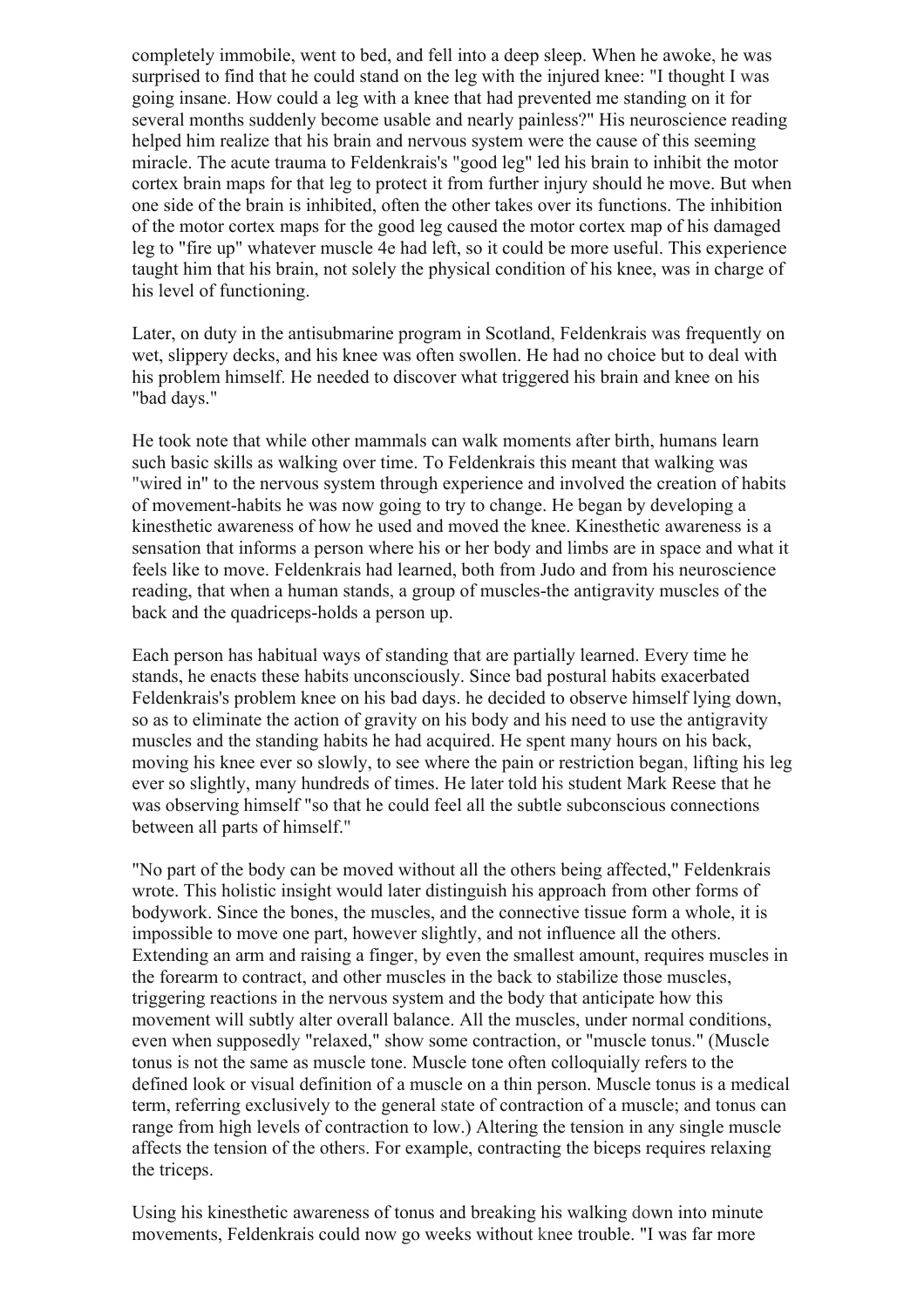completely immobile, went to bed, and fell into a deep sleep. When he awoke, he was surprised to find that he could stand on the leg with the injured knee: "I thought I was going insane. How could a leg with a knee that had prevented me standing on it for several months suddenly become usable and nearly painless?" His neuroscience reading helped him realize that his brain and nervous system were the cause of this seeming miracle. The acute trauma to Feldenkrais's "good leg" led his brain to inhibit the motor cortex brain maps for that leg to protect it from further injury should he move. But when one side of the brain is inhibited, often the other takes over its functions. The inhibition of the motor cortex maps for the good leg caused the motor cortex map of his damaged leg to "fire up" whatever muscle 4e had left, so it could be more useful. This experience taught him that his brain, not solely the physical condition of his knee, was in charge of his level of functioning.

Later, on duty in the antisubmarine program in Scotland, Feldenkrais was frequently on wet, slippery decks, and his knee was often swollen. He had no choice but to deal with his problem himself. He needed to discover what triggered his brain and knee on his "bad days."

He took note that while other mammals can walk moments after birth, humans learn such basic skills as walking over time. To Feldenkrais this meant that walking was "wired in" to the nervous system through experience and involved the creation of habits of movement-habits he was now going to try to change. He began by developing a kinesthetic awareness of how he used and moved the knee. Kinesthetic awareness is a sensation that informs a person where his or her body and limbs are in space and what it feels like to move. Feldenkrais had learned, both from Judo and from his neuroscience reading, that when a human stands, a group of muscles-the antigravity muscles of the back and the quadriceps-holds a person up.

Each person has habitual ways of standing that are partially learned. Every time he stands, he enacts these habits unconsciously. Since bad postural habits exacerbated Feldenkrais's problem knee on his bad days. he decided to observe himself lying down, so as to eliminate the action of gravity on his body and his need to use the antigravity muscles and the standing habits he had acquired. He spent many hours on his back, moving his knee ever so slowly, to see where the pain or restriction began, lifting his leg ever so slightly, many hundreds of times. He later told his student Mark Reese that he was observing himself "so that he could feel all the subtle subconscious connections between all parts of himself."

"No part of the body can be moved without all the others being affected," Feldenkrais wrote. This holistic insight would later distinguish his approach from other forms of bodywork. Since the bones, the muscles, and the connective tissue form a whole, it is impossible to move one part, however slightly, and not influence all the others. Extending an arm and raising a finger, by even the smallest amount, requires muscles in the forearm to contract, and other muscles in the back to stabilize those muscles, triggering reactions in the nervous system and the body that anticipate how this movement will subtly alter overall balance. All the muscles, under normal conditions, even when supposedly "relaxed," show some contraction, or "muscle tonus." (Muscle tonus is not the same as muscle tone. Muscle tone often colloquially refers to the defined look or visual definition of a muscle on a thin person. Muscle tonus is a medical term, referring exclusively to the general state of contraction of a muscle; and tonus can range from high levels of contraction to low.) Altering the tension in any single muscle affects the tension of the others. For example, contracting the biceps requires relaxing the triceps.

Using his kinesthetic awareness of tonus and breaking his walking down into minute movements, Feldenkrais could now go weeks without knee trouble. "I was far more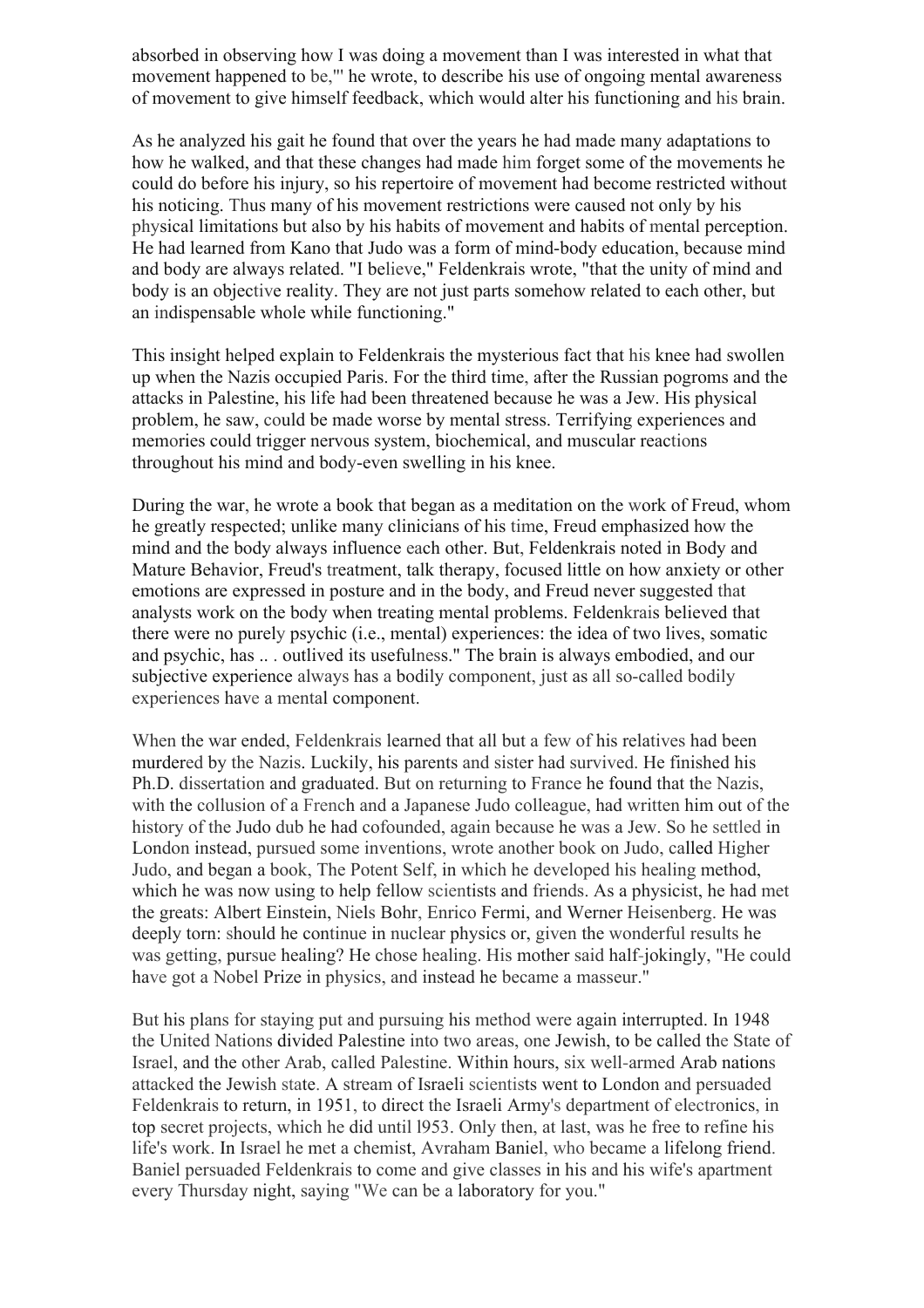absorbed in observing how I was doing a movement than I was interested in what that movement happened to be,"' he wrote, to describe his use of ongoing mental awareness of movement to give himself feedback, which would alter his functioning and his brain.

As he analyzed his gait he found that over the years he had made many adaptations to how he walked, and that these changes had made him forget some of the movements he could do before his injury, so his repertoire of movement had become restricted without his noticing. Thus many of his movement restrictions were caused not only by his physical limitations but also by his habits of movement and habits of mental perception. He had learned from Kano that Judo was a form of mind-body education, because mind and body are always related. "I believe," Feldenkrais wrote, "that the unity of mind and body is an objective reality. They are not just parts somehow related to each other, but an indispensable whole while functioning."

This insight helped explain to Feldenkrais the mysterious fact that his knee had swollen up when the Nazis occupied Paris. For the third time, after the Russian pogroms and the attacks in Palestine, his life had been threatened because he was a Jew. His physical problem, he saw, could be made worse by mental stress. Terrifying experiences and memories could trigger nervous system, biochemical, and muscular reactions throughout his mind and body-even swelling in his knee.

During the war, he wrote a book that began as a meditation on the work of Freud, whom he greatly respected; unlike many clinicians of his time, Freud emphasized how the mind and the body always influence each other. But, Feldenkrais noted in Body and Mature Behavior, Freud's treatment, talk therapy, focused little on how anxiety or other emotions are expressed in posture and in the body, and Freud never suggested that analysts work on the body when treating mental problems. Feldenkrais believed that there were no purely psychic (i.e., mental) experiences: the idea of two lives, somatic and psychic, has .. . outlived its usefulness." The brain is always embodied, and our subjective experience always has a bodily component, just as all so-called bodily experiences have a mental component.

When the war ended, Feldenkrais learned that all but a few of his relatives had been murdered by the Nazis. Luckily, his parents and sister had survived. He finished his Ph.D. dissertation and graduated. But on returning to France he found that the Nazis, with the collusion of a French and a Japanese Judo colleague, had written him out of the history of the Judo dub he had cofounded, again because he was a Jew. So he settled in London instead, pursued some inventions, wrote another book on Judo, called Higher Judo, and began a book, The Potent Self, in which he developed his healing method, which he was now using to help fellow scientists and friends. As a physicist, he had met the greats: Albert Einstein, Niels Bohr, Enrico Fermi, and Werner Heisenberg. He was deeply torn: should he continue in nuclear physics or, given the wonderful results he was getting, pursue healing? He chose healing. His mother said half-jokingly, "He could have got a Nobel Prize in physics, and instead he became a masseur."

But his plans for staying put and pursuing his method were again interrupted. In 1948 the United Nations divided Palestine into two areas, one Jewish, to be called the State of Israel, and the other Arab, called Palestine. Within hours, six well-armed Arab nations attacked the Jewish state. A stream of Israeli scientists went to London and persuaded Feldenkrais to return, in 1951, to direct the Israeli Army's department of electronics, in top secret projects, which he did until l953. Only then, at last, was he free to refine his life's work. In Israel he met a chemist, Avraham Baniel, who became a lifelong friend. Baniel persuaded Feldenkrais to come and give classes in his and his wife's apartment every Thursday night, saying "We can be a laboratory for you."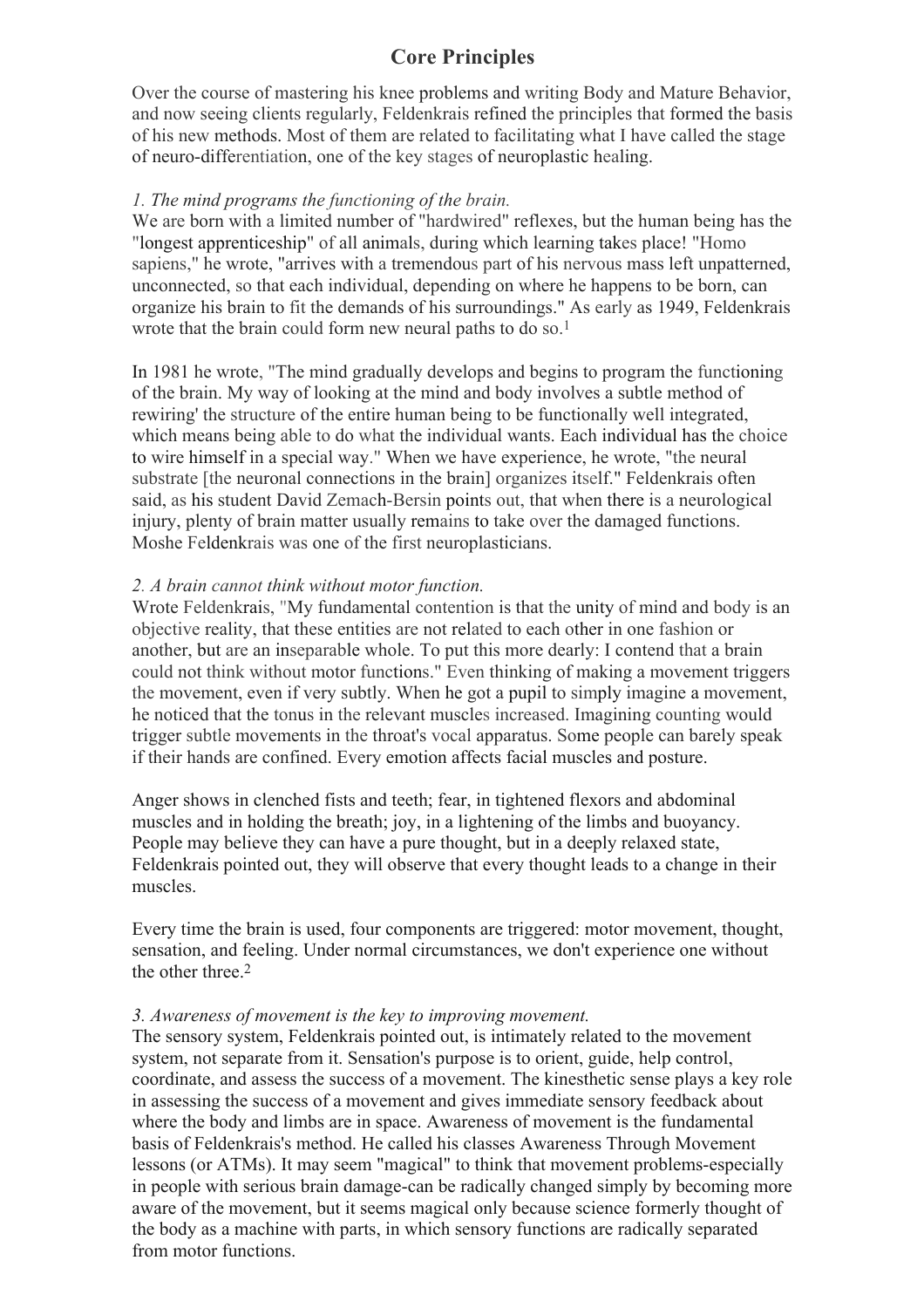## **Core Principles**

Over the course of mastering his knee problems and writing Body and Mature Behavior, and now seeing clients regularly, Feldenkrais refined the principles that formed the basis of his new methods. Most of them are related to facilitating what I have called the stage of neuro-differentiation, one of the key stages of neuroplastic healing.

#### *1. The mind programs the functioning of the brain.*

We are born with a limited number of "hardwired" reflexes, but the human being has the "longest apprenticeship" of all animals, during which learning takes place! "Homo sapiens," he wrote, "arrives with a tremendous part of his nervous mass left unpatterned, unconnected, so that each individual, depending on where he happens to be born, can organize his brain to fit the demands of his surroundings." As early as 1949, Feldenkrais wrote that the brain could form new neural paths to do so.<sup>1</sup>

In 1981 he wrote, "The mind gradually develops and begins to program the functioning of the brain. My way of looking at the mind and body involves a subtle method of rewiring' the structure of the entire human being to be functionally well integrated, which means being able to do what the individual wants. Each individual has the choice to wire himself in a special way." When we have experience, he wrote, "the neural substrate [the neuronal connections in the brain] organizes itself." Feldenkrais often said, as his student David Zemach-Bersin points out, that when there is a neurological injury, plenty of brain matter usually remains to take over the damaged functions. Moshe Feldenkrais was one of the first neuroplasticians.

#### *2. A brain cannot think without motor function.*

Wrote Feldenkrais, "My fundamental contention is that the unity of mind and body is an objective reality, that these entities are not related to each other in one fashion or another, but are an inseparable whole. To put this more dearly: I contend that a brain could not think without motor functions." Even thinking of making a movement triggers the movement, even if very subtly. When he got a pupil to simply imagine a movement, he noticed that the tonus in the relevant muscles increased. Imagining counting would trigger subtle movements in the throat's vocal apparatus. Some people can barely speak if their hands are confined. Every emotion affects facial muscles and posture.

Anger shows in clenched fists and teeth; fear, in tightened flexors and abdominal muscles and in holding the breath; joy, in a lightening of the limbs and buoyancy. People may believe they can have a pure thought, but in a deeply relaxed state, Feldenkrais pointed out, they will observe that every thought leads to a change in their muscles.

Every time the brain is used, four components are triggered: motor movement, thought, sensation, and feeling. Under normal circumstances, we don't experience one without the other three.2

#### *3. Awareness of movement is the key to improving movement.*

The sensory system, Feldenkrais pointed out, is intimately related to the movement system, not separate from it. Sensation's purpose is to orient, guide, help control, coordinate, and assess the success of a movement. The kinesthetic sense plays a key role in assessing the success of a movement and gives immediate sensory feedback about where the body and limbs are in space. Awareness of movement is the fundamental basis of Feldenkrais's method. He called his classes Awareness Through Movement lessons (or ATMs). It may seem "magical" to think that movement problems-especially in people with serious brain damage-can be radically changed simply by becoming more aware of the movement, but it seems magical only because science formerly thought of the body as a machine with parts, in which sensory functions are radically separated from motor functions.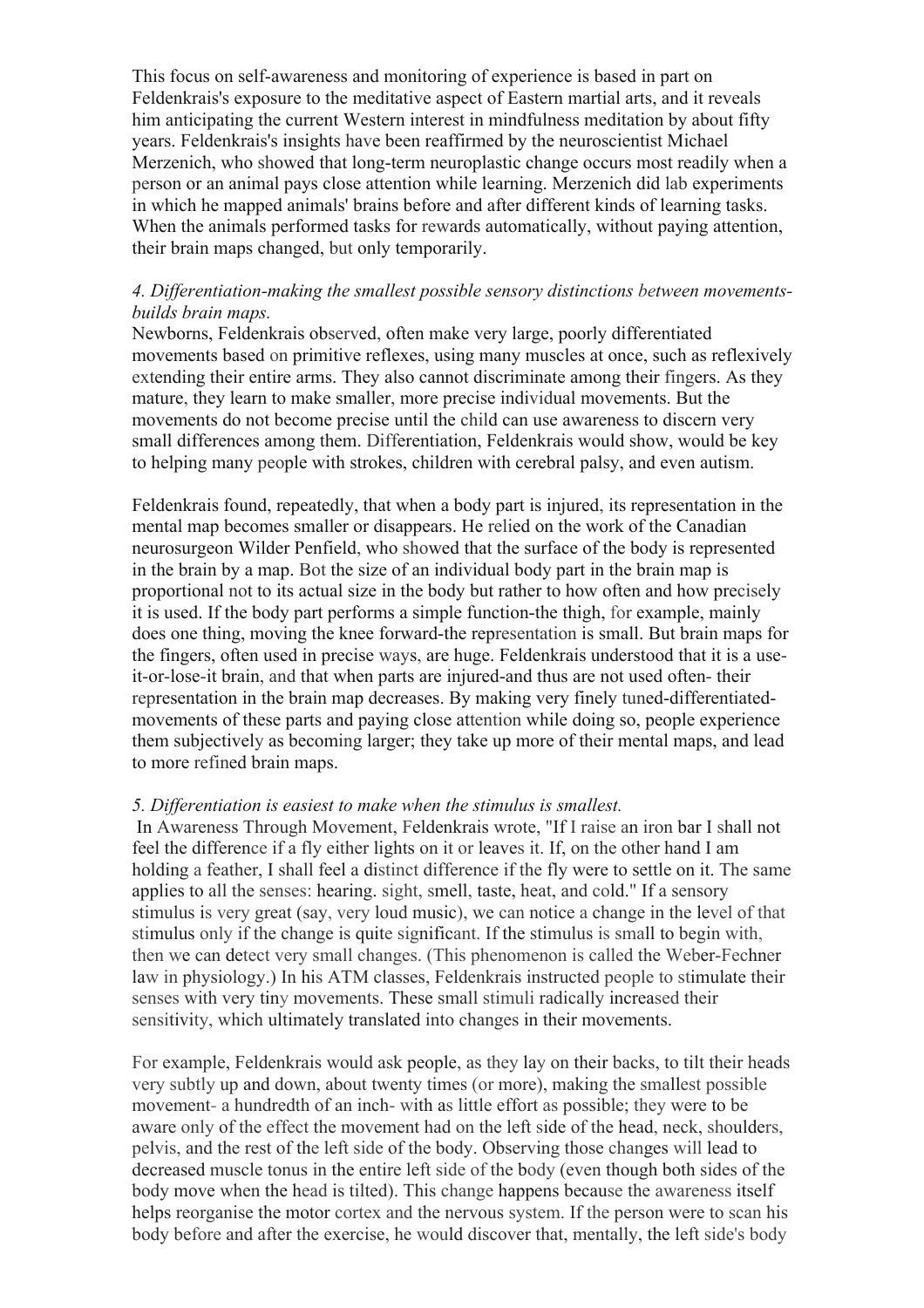This focus on self-awareness and monitoring of experience is based in part on Feldenkrais's exposure to the meditative aspect of Eastern martial arts, and it reveals him anticipating the current Western interest in mindfulness meditation by about fifty years. Feldenkrais's insights have been reaffirmed by the neuroscientist Michael Merzenich, who showed that long-term neuroplastic change occurs most readily when a person or an animal pays close attention while learning. Merzenich did lab experiments in which he mapped animals' brains before and after different kinds of learning tasks. When the animals performed tasks for rewards automatically, without paying attention, their brain maps changed, but only temporarily.

#### *4. Differentiation-making the smallest possible sensory distinctions between movementsbuilds brain maps.*

Newborns, Feldenkrais observed, often make very large, poorly differentiated movements based on primitive reflexes, using many muscles at once, such as reflexively extending their entire arms. They also cannot discriminate among their fingers. As they mature, they learn to make smaller, more precise individual movements. But the movements do not become precise until the child can use awareness to discern very small differences among them. Differentiation, Feldenkrais would show, would be key to helping many people with strokes, children with cerebral palsy, and even autism.

Feldenkrais found, repeatedly, that when a body part is injured, its representation in the mental map becomes smaller or disappears. He relied on the work of the Canadian neurosurgeon Wilder Penfield, who showed that the surface of the body is represented in the brain by a map. Bot the size of an individual body part in the brain map is proportional not to its actual size in the body but rather to how often and how precisely it is used. If the body part performs a simple function-the thigh, for example, mainly does one thing, moving the knee forward-the representation is small. But brain maps for the fingers, often used in precise ways, are huge. Feldenkrais understood that it is a useit-or-lose-it brain, and that when parts are injured-and thus are not used often- their representation in the brain map decreases. By making very finely tuned-differentiatedmovements of these parts and paying close attention while doing so, people experience them subjectively as becoming larger; they take up more of their mental maps, and lead to more refined brain maps.

#### *5. Differentiation is easiest to make when the stimulus is smallest.*

In Awareness Through Movement, Feldenkrais wrote, "If I raise an iron bar I shall not feel the difference if a fly either lights on it or leaves it. If, on the other hand I am holding a feather, I shall feel a distinct difference if the fly were to settle on it. The same applies to all the senses: hearing. sight, smell, taste, heat, and cold." If a sensory stimulus is very great (say, very loud music), we can notice a change in the level of that stimulus only if the change is quite significant. If the stimulus is small to begin with, then we can detect very small changes. (This phenomenon is called the Weber-Fechner law in physiology.) In his ATM classes, Feldenkrais instructed people to stimulate their senses with very tiny movements. These small stimuli radically increased their sensitivity, which ultimately translated into changes in their movements.

For example, Feldenkrais would ask people, as they lay on their backs, to tilt their heads very subtly up and down, about twenty times (or more), making the smallest possible movement- a hundredth of an inch- with as little effort as possible; they were to be aware only of the effect the movement had on the left side of the head, neck, shoulders, pelvis, and the rest of the left side of the body. Observing those changes will lead to decreased muscle tonus in the entire left side of the body (even though both sides of the body move when the head is tilted). This change happens because the awareness itself helps reorganise the motor cortex and the nervous system. If the person were to scan his body before and after the exercise, he would discover that, mentally, the left side's body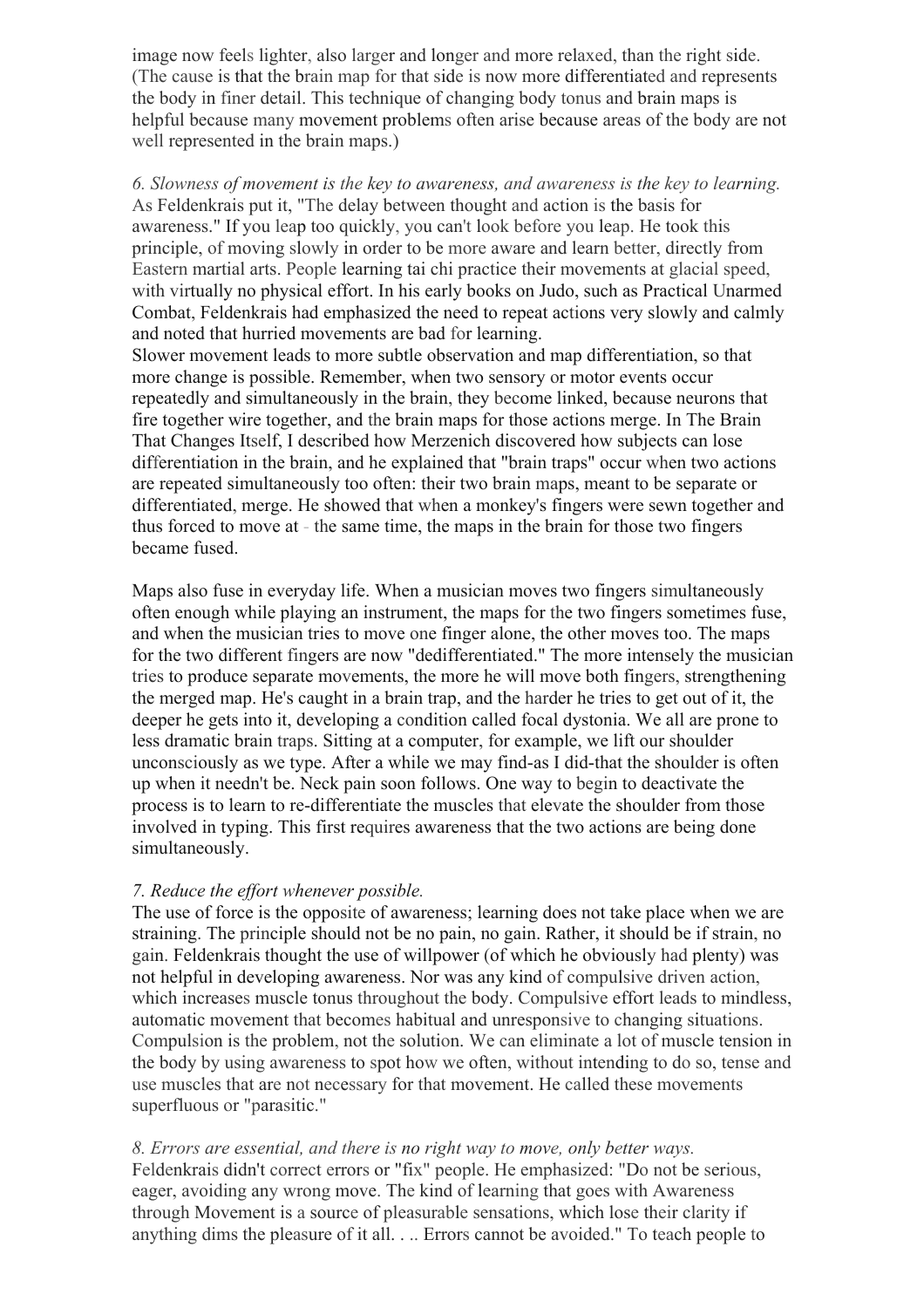image now feels lighter, also larger and longer and more relaxed, than the right side. (The cause is that the brain map for that side is now more differentiated and represents the body in finer detail. This technique of changing body tonus and brain maps is helpful because many movement problems often arise because areas of the body are not well represented in the brain maps.)

*6. Slowness of movement is the key to awareness, and awareness is the key to learning.* As Feldenkrais put it, "The delay between thought and action is the basis for awareness." If you leap too quickly, you can't look before you leap. He took this principle, of moving slowly in order to be more aware and learn better, directly from Eastern martial arts. People learning tai chi practice their movements at glacial speed, with virtually no physical effort. In his early books on Judo, such as Practical Unarmed Combat, Feldenkrais had emphasized the need to repeat actions very slowly and calmly and noted that hurried movements are bad for learning.

Slower movement leads to more subtle observation and map differentiation, so that more change is possible. Remember, when two sensory or motor events occur repeatedly and simultaneously in the brain, they become linked, because neurons that fire together wire together, and the brain maps for those actions merge. In The Brain That Changes Itself, I described how Merzenich discovered how subjects can lose differentiation in the brain, and he explained that "brain traps" occur when two actions are repeated simultaneously too often: their two brain maps, meant to be separate or differentiated, merge. He showed that when a monkey's fingers were sewn together and thus forced to move at - the same time, the maps in the brain for those two fingers became fused.

Maps also fuse in everyday life. When a musician moves two fingers simultaneously often enough while playing an instrument, the maps for the two fingers sometimes fuse, and when the musician tries to move one finger alone, the other moves too. The maps for the two different fingers are now "dedifferentiated." The more intensely the musician tries to produce separate movements, the more he will move both fingers, strengthening the merged map. He's caught in a brain trap, and the harder he tries to get out of it, the deeper he gets into it, developing a condition called focal dystonia. We all are prone to less dramatic brain traps. Sitting at a computer, for example, we lift our shoulder unconsciously as we type. After a while we may find-as I did-that the shoulder is often up when it needn't be. Neck pain soon follows. One way to begin to deactivate the process is to learn to re-differentiate the muscles that elevate the shoulder from those involved in typing. This first requires awareness that the two actions are being done simultaneously.

### *7. Reduce the effort whenever possible.*

The use of force is the opposite of awareness; learning does not take place when we are straining. The principle should not be no pain, no gain. Rather, it should be if strain, no gain. Feldenkrais thought the use of willpower (of which he obviously had plenty) was not helpful in developing awareness. Nor was any kind of compulsive driven action, which increases muscle tonus throughout the body. Compulsive effort leads to mindless, automatic movement that becomes habitual and unresponsive to changing situations. Compulsion is the problem, not the solution. We can eliminate a lot of muscle tension in the body by using awareness to spot how we often, without intending to do so, tense and use muscles that are not necessary for that movement. He called these movements superfluous or "parasitic."

*8. Errors are essential, and there is no right way to move, only better ways.* Feldenkrais didn't correct errors or "fix" people. He emphasized: "Do not be serious, eager, avoiding any wrong move. The kind of learning that goes with Awareness through Movement is a source of pleasurable sensations, which lose their clarity if anything dims the pleasure of it all. . .. Errors cannot be avoided." To teach people to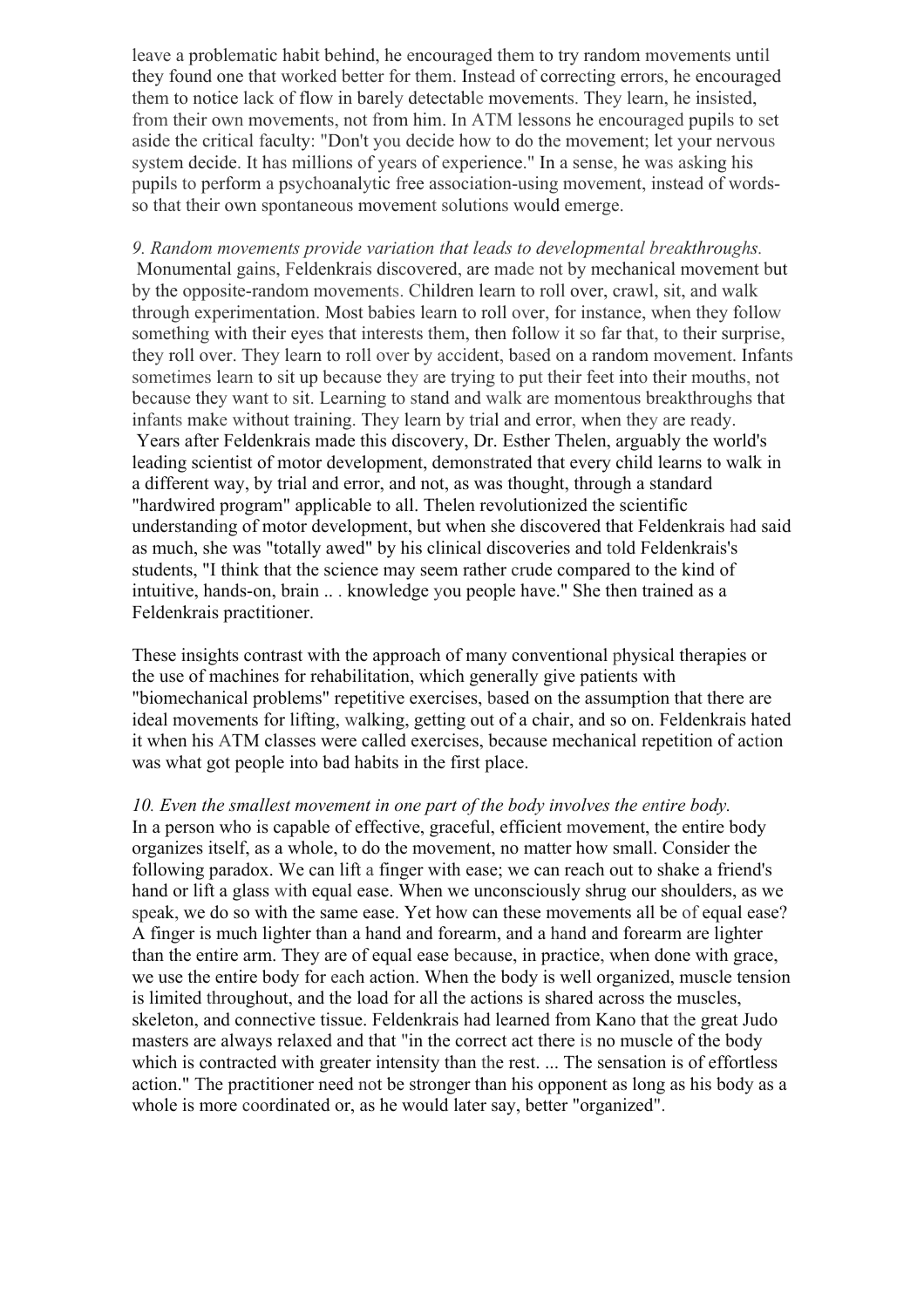leave a problematic habit behind, he encouraged them to try random movements until they found one that worked better for them. Instead of correcting errors, he encouraged them to notice lack of flow in barely detectable movements. They learn, he insisted, from their own movements, not from him. In ATM lessons he encouraged pupils to set aside the critical faculty: "Don't you decide how to do the movement; let your nervous system decide. It has millions of years of experience." In a sense, he was asking his pupils to perform a psychoanalytic free association-using movement, instead of wordsso that their own spontaneous movement solutions would emerge.

*9. Random movements provide variation that leads to developmental breakthroughs.* Monumental gains, Feldenkrais discovered, are made not by mechanical movement but by the opposite-random movements. Children learn to roll over, crawl, sit, and walk through experimentation. Most babies learn to roll over, for instance, when they follow something with their eyes that interests them, then follow it so far that, to their surprise, they roll over. They learn to roll over by accident, based on a random movement. Infants sometimes learn to sit up because they are trying to put their feet into their mouths, not because they want to sit. Learning to stand and walk are momentous breakthroughs that infants make without training. They learn by trial and error, when they are ready. Years after Feldenkrais made this discovery, Dr. Esther Thelen, arguably the world's leading scientist of motor development, demonstrated that every child learns to walk in a different way, by trial and error, and not, as was thought, through a standard "hardwired program" applicable to all. Thelen revolutionized the scientific understanding of motor development, but when she discovered that Feldenkrais had said as much, she was "totally awed" by his clinical discoveries and told Feldenkrais's students, "I think that the science may seem rather crude compared to the kind of intuitive, hands-on, brain .. . knowledge you people have." She then trained as a Feldenkrais practitioner.

These insights contrast with the approach of many conventional physical therapies or the use of machines for rehabilitation, which generally give patients with "biomechanical problems" repetitive exercises, based on the assumption that there are ideal movements for lifting, walking, getting out of a chair, and so on. Feldenkrais hated it when his ATM classes were called exercises, because mechanical repetition of action was what got people into bad habits in the first place.

*10. Even the smallest movement in one part of the body involves the entire body.* In a person who is capable of effective, graceful, efficient movement, the entire body organizes itself, as a whole, to do the movement, no matter how small. Consider the following paradox. We can lift a finger with ease; we can reach out to shake a friend's hand or lift a glass with equal ease. When we unconsciously shrug our shoulders, as we speak, we do so with the same ease. Yet how can these movements all be of equal ease? A finger is much lighter than a hand and forearm, and a hand and forearm are lighter than the entire arm. They are of equal ease because, in practice, when done with grace, we use the entire body for each action. When the body is well organized, muscle tension is limited throughout, and the load for all the actions is shared across the muscles, skeleton, and connective tissue. Feldenkrais had learned from Kano that the great Judo masters are always relaxed and that "in the correct act there is no muscle of the body which is contracted with greater intensity than the rest. ... The sensation is of effortless action." The practitioner need not be stronger than his opponent as long as his body as a whole is more coordinated or, as he would later say, better "organized".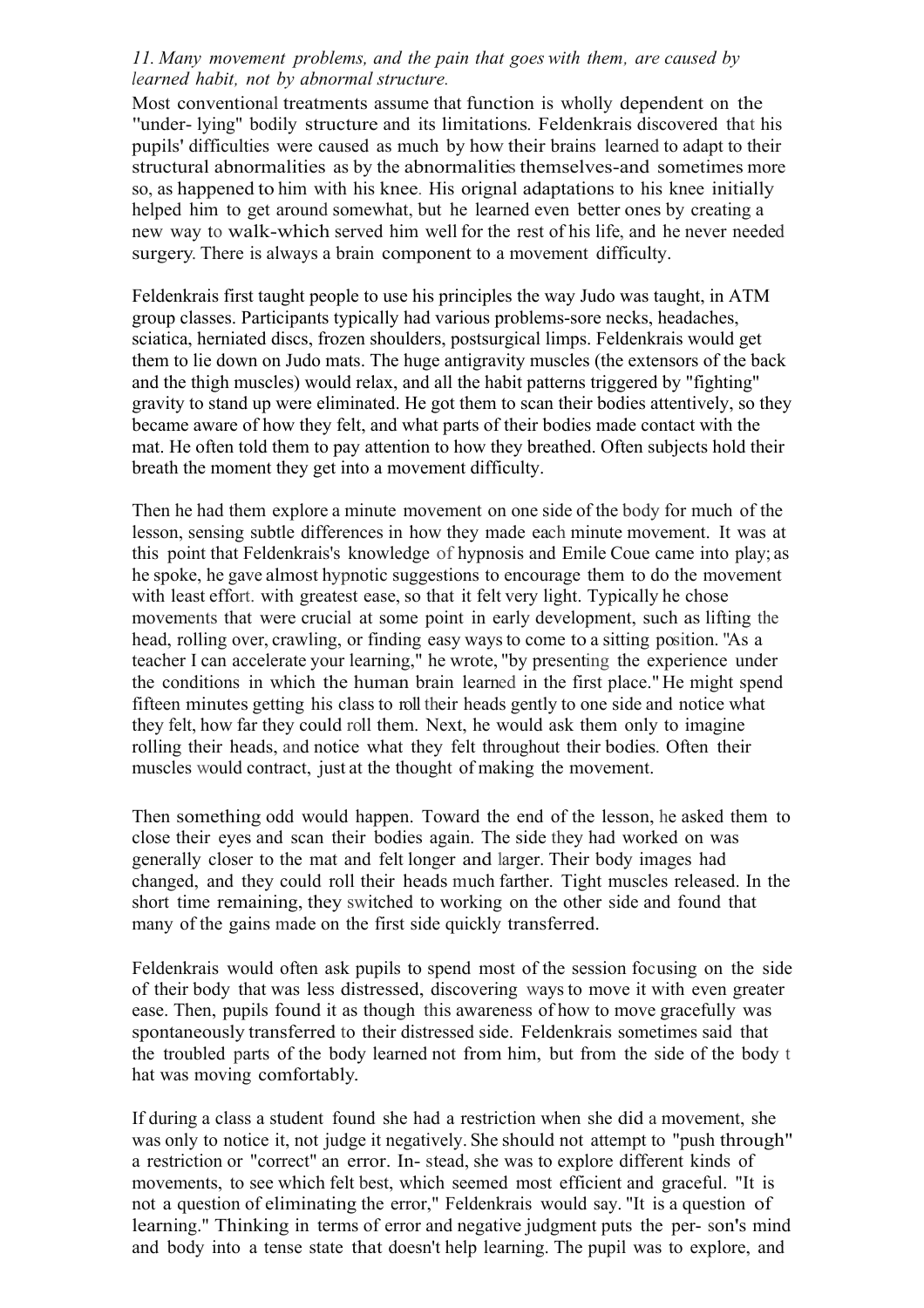#### *11. Many movement problems, and the pain that goes with them, are caused by learned habit, not by abnormal structure.*

Most conventional treatments assume that function is wholly dependent on the "under- lying" bodily structure and its limitations. Feldenkrais discovered that his pupils' difficulties were caused as much by how their brains learned to adapt to their structural abnormalities as by the abnormalities themselves-and sometimes more so, as happened to him with his knee. His original adaptations to his knee initially helped him to get around somewhat, but he learned even better ones by creating a new way to walk-which served him well for the rest of his life, and he never needed surgery. There is always a brain component to a movement difficulty.

Feldenkrais first taught people to use his principles the way Judo was taught, in ATM group classes. Participants typically had various problems-sore necks, headaches, sciatica, herniated discs, frozen shoulders, postsurgical limps. Feldenkrais would get them to lie down on Judo mats. The huge antigravity muscles (the extensors of the back and the thigh muscles) would relax, and all the habit patterns triggered by "fighting" gravity to stand up were eliminated. He got them to scan their bodies attentively, so they became aware of how they felt, and what parts of their bodies made contact with the mat. He often told them to pay attention to how they breathed. Often subjects hold their breath the moment they get into a movement difficulty.

Then he had them explore a minute movement on one side of the body for much of the lesson, sensing subtle differences in how they made each minute movement. It was at this point that Feldenkrais's knowledge of hypnosis and Emile Coue came into play; as he spoke, he gave almost hypnotic suggestions to encourage them to do the movement with least effort. with greatest ease, so that it felt very light. Typically he chose movements that were crucial at some point in early development, such as lifting the head, rolling over, crawling, or finding easy waysto come to a sitting position. "As a teacher I can accelerate your learning," he wrote, "by presenting the experience under the conditions in which the human brain learned in the first place." He might spend fifteen minutes getting his class to roll their heads gently to one side and notice what they felt, how far they could roll them. Next, he would ask them only to imagine rolling their heads, and notice what they felt throughout their bodies. Often their muscles would contract, just at the thought of making the movement.

Then something odd would happen. Toward the end of the lesson, he asked them to close their eyes and scan their bodies again. The side they had worked on was generally closer to the mat and felt longer and larger. Their body images had changed, and they could roll their heads much farther. Tight muscles released. In the short time remaining, they switched to working on the other side and found that many of the gains made on the first side quickly transferred.

Feldenkrais would often ask pupils to spend most of the session focusing on the side of their body that was less distressed, discovering ways to move it with even greater ease. Then, pupils found it as though this awareness of how to move gracefully was spontaneously transferred to their distressed side. Feldenkrais sometimes said that the troubled parts of the body learned not from him, but from the side of the body t hat was moving comfortably.

If during a class a student found she had a restriction when she did a movement, she was only to notice it, not judge it negatively. She should not attempt to "push through" a restriction or "correct" an error. In- stead, she was to explore different kinds of movements, to see which felt best, which seemed most efficient and graceful. "It is not a question of eliminating the error," Feldenkrais would say. "It is a question of learning." Thinking in terms of error and negative judgment puts the per- son's mind and body into a tense state that doesn't help learning. The pupil was to explore, and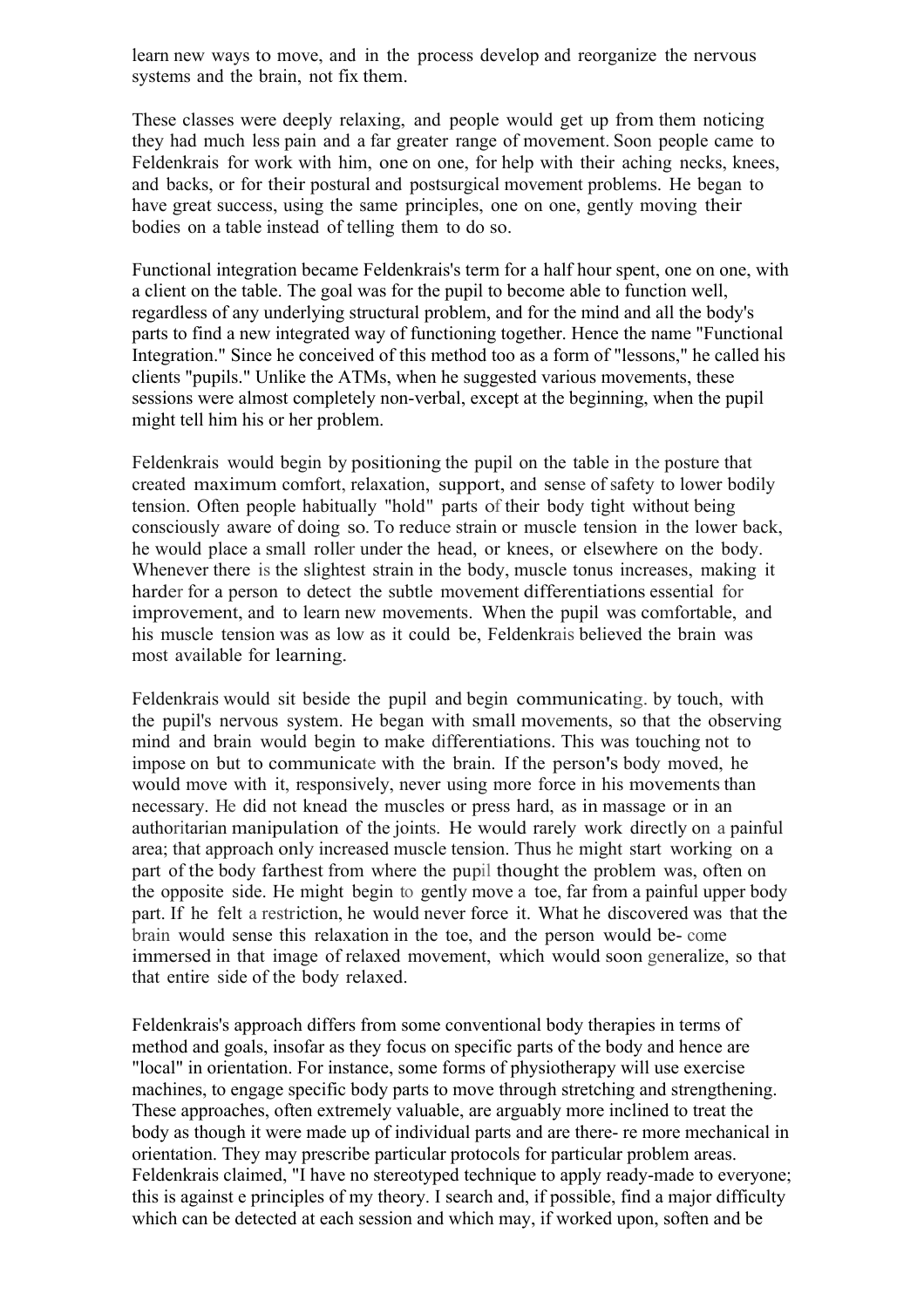learn new ways to move, and in the process develop and reorganize the nervous systems and the brain, not fix them.

These classes were deeply relaxing, and people would get up from them noticing they had much less pain and a far greater range of movement. Soon people came to Feldenkrais for work with him, one on one, for help with their aching necks, knees, and backs, or for their postural and postsurgical movement problems. He began to have great success, using the same principles, one on one, gently moving their bodies on a table instead of telling them to do so.

Functional integration became Feldenkrais's term for a half hour spent, one on one, with a client on the table. The goal was for the pupil to become able to function well, regardless of any underlying structural problem, and for the mind and all the body's parts to find a new integrated way of functioning together. Hence the name "Functional Integration." Since he conceived of this method too as a form of "lessons," he called his clients "pupils." Unlike the ATMs, when he suggested various movements, these sessions were almost completely non-verbal, except at the beginning, when the pupil might tell him his or her problem.

Feldenkrais would begin by positioning the pupil on the table in the posture that created maximum comfort, relaxation, support, and sense of safety to lower bodily tension. Often people habitually "hold" parts of their body tight without being consciously aware of doing so. To reduce strain or muscle tension in the lower back, he would place a small roller under the head, or knees, or elsewhere on the body. Whenever there is the slightest strain in the body, muscle tonus increases, making it harder for a person to detect the subtle movement differentiations essential for improvement, and to learn new movements. When the pupil was comfortable, and his muscle tension was as low as it could be, Feldenkrais believed the brain was most available for learning.

Feldenkrais would sit beside the pupil and begin communicating. by touch, with the pupil's nervous system. He began with small movements, so that the observing mind and brain would begin to make differentiations. This was touching not to impose on but to communicate with the brain. If the person's body moved, he would move with it, responsively, never using more force in his movements than necessary. He did not knead the muscles or press hard, as in massage or in an authoritarian manipulation of the joints. He would rarely work directly on a painful area; that approach only increased muscle tension. Thus he might start working on a part of the body farthest from where the pupil thought the problem was, often on the opposite side. He might begin to gently move a toe, far from a painful upper body part. If he felt a restriction, he would never force it. What he discovered was that the brain would sense this relaxation in the toe, and the person would be- come immersed in that image of relaxed movement, which would soon generalize, so that that entire side of the body relaxed.

Feldenkrais's approach differs from some conventional body therapies in terms of method and goals, insofar as they focus on specific parts of the body and hence are "local" in orientation. For instance, some forms of physiotherapy will use exercise machines, to engage specific body parts to move through stretching and strengthening. These approaches, often extremely valuable, are arguably more inclined to treat the body as though it were made up of individual parts and are there- re more mechanical in orientation. They may prescribe particular protocols for particular problem areas. Feldenkrais claimed, "I have no stereotyped technique to apply ready-made to everyone; this is against e principles of my theory. I search and, if possible, find a major difficulty which can be detected at each session and which may, if worked upon, soften and be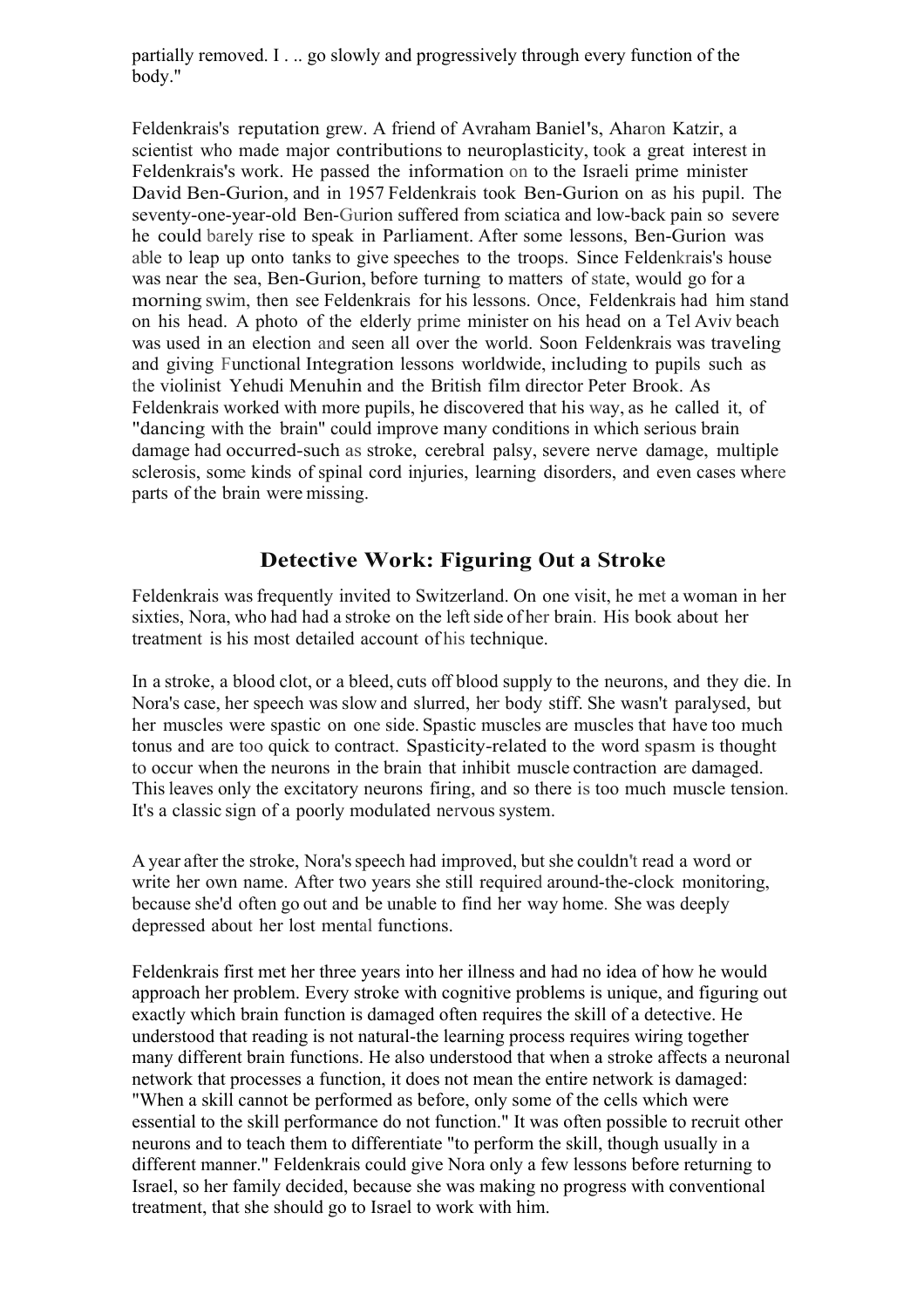partially removed. I . .. go slowly and progressively through every function of the body."

Feldenkrais's reputation grew. A friend of Avraham Baniel's, Aharon Katzir, a scientist who made major contributions to neuroplasticity, took a great interest in Feldenkrais's work. He passed the information on to the Israeli prime minister David Ben-Gurion, and in 1957 Feldenkrais took Ben-Gurion on as his pupil. The seventy-one-year-old Ben-Gurion suffered from sciatica and low-back pain so severe he could barely rise to speak in Parliament. After some lessons, Ben-Gurion was able to leap up onto tanks to give speeches to the troops. Since Feldenkrais's house was near the sea, Ben-Gurion, before turning to matters of state, would go for a morning swim, then see Feldenkrais for his lessons. Once, Feldenkrais had him stand on his head. A photo of the elderly prime minister on his head on a Tel Aviv beach was used in an election and seen all over the world. Soon Feldenkrais was traveling and giving Functional Integration lessons worldwide, including to pupils such as the violinist Yehudi Menuhin and the British film director Peter Brook. As Feldenkrais worked with more pupils, he discovered that his way, as he called it, of "dancing with the brain" could improve many conditions in which serious brain damage had occurred-such as stroke, cerebral palsy, severe nerve damage, multiple sclerosis, some kinds of spinal cord injuries, learning disorders, and even cases where parts of the brain were missing.

## **Detective Work: Figuring Out a Stroke**

Feldenkrais wasfrequently invited to Switzerland. On one visit, he met a woman in her sixties, Nora, who had had a stroke on the left side of her brain. His book about her treatment is his most detailed account of his technique.

In a stroke, a blood clot, or a bleed, cuts off blood supply to the neurons, and they die. In Nora's case, her speech was slow and slurred, her body stiff. She wasn't paralysed, but her muscles were spastic on one side. Spastic muscles are muscles that have too much tonus and are too quick to contract. Spasticity-related to the word spasm is thought to occur when the neurons in the brain that inhibit muscle contraction are damaged. This leaves only the excitatory neurons firing, and so there is too much muscle tension. It's a classic sign of a poorly modulated nervous system.

A year after the stroke, Nora's speech had improved, but she couldn't read a word or write her own name. After two years she still required around-the-clock monitoring, because she'd often go out and be unable to find her way home. She was deeply depressed about her lost mental functions.

Feldenkrais first met her three years into her illness and had no idea of how he would approach her problem. Every stroke with cognitive problems is unique, and figuring out exactly which brain function is damaged often requires the skill of a detective. He understood that reading is not natural-the learning process requires wiring together many different brain functions. He also understood that when a stroke affects a neuronal network that processes a function, it does not mean the entire network is damaged: "When a skill cannot be performed as before, only some of the cells which were essential to the skill performance do not function." It was often possible to recruit other neurons and to teach them to differentiate "to perform the skill, though usually in a different manner." Feldenkrais could give Nora only a few lessons before returning to Israel, so her family decided, because she was making no progress with conventional treatment, that she should go to Israel to work with him.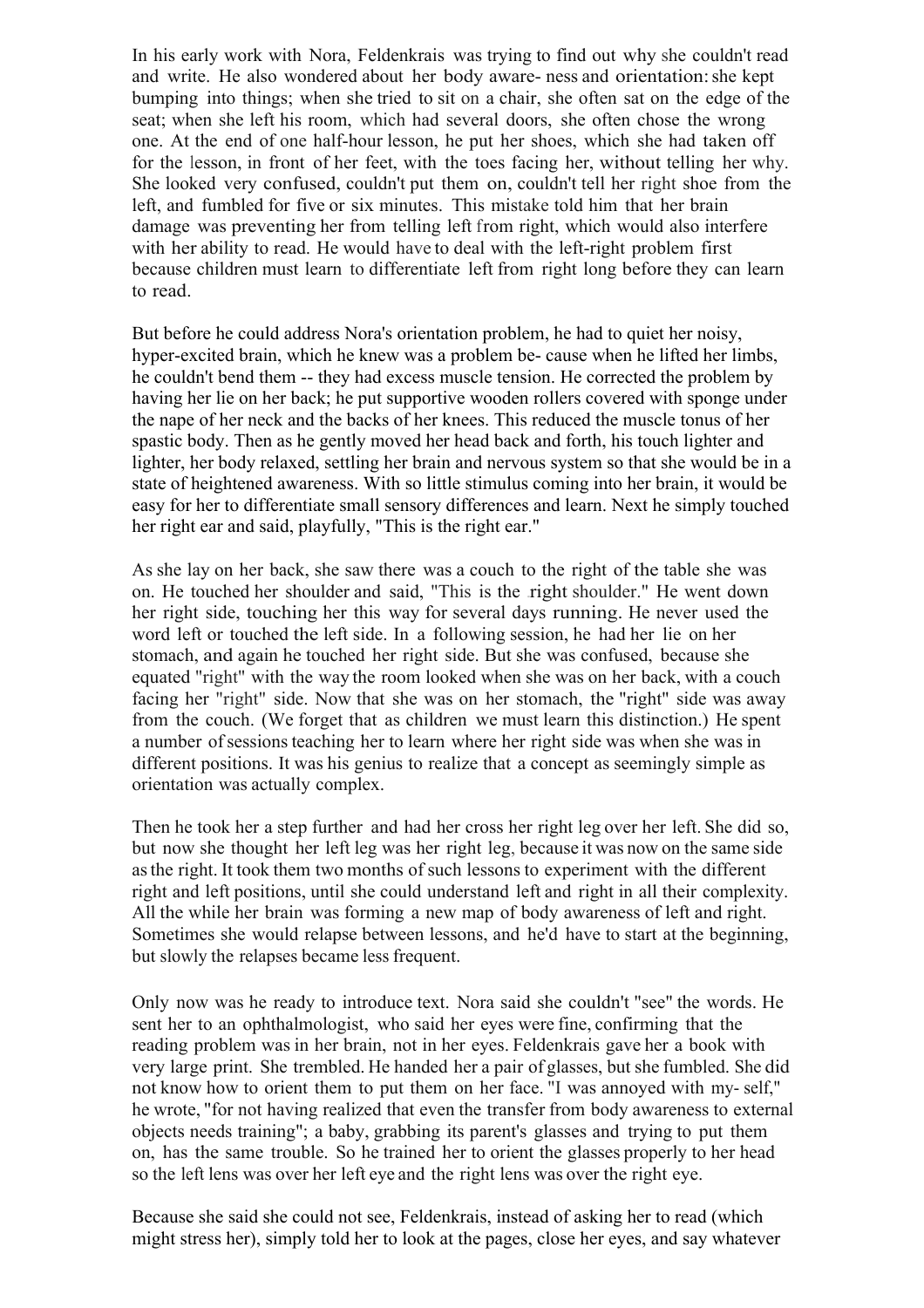In his early work with Nora, Feldenkrais was trying to find out why she couldn't read and write. He also wondered about her body aware- ness and orientation:she kept bumping into things; when she tried to sit on a chair, she often sat on the edge of the seat; when she left his room, which had several doors, she often chose the wrong one. At the end of one half-hour lesson, he put her shoes, which she had taken off for the lesson, in front of her feet, with the toes facing her, without telling her why. She looked very confused, couldn't put them on, couldn't tell her right shoe from the left, and fumbled for five or six minutes. This mistake told him that her brain damage was preventing her from telling left from right, which would also interfere with her ability to read. He would have to deal with the left-right problem first because children must learn to differentiate left from right long before they can learn to read.

But before he could address Nora's orientation problem, he had to quiet her noisy, hyper-excited brain, which he knew was a problem be- cause when he lifted her limbs, he couldn't bend them -- they had excess muscle tension. He corrected the problem by having her lie on her back; he put supportive wooden rollers covered with sponge under the nape of her neck and the backs of her knees. This reduced the muscle tonus of her spastic body. Then as he gently moved her head back and forth, his touch lighter and lighter, her body relaxed, settling her brain and nervous system so that she would be in a state of heightened awareness. With so little stimulus coming into her brain, it would be easy for her to differentiate small sensory differences and learn. Next he simply touched her right ear and said, playfully, "This is the right ear."

As she lay on her back, she saw there was a couch to the right of the table she was on. He touched her shoulder and said, "This is the right shoulder." He went down her right side, touching her this way for several days running. He never used the word left or touched the left side. In a following session, he had her lie on her stomach, and again he touched her right side. But she was confused, because she equated "right" with the way the room looked when she was on her back, with a couch facing her "right" side. Now that she was on her stomach, the "right" side was away from the couch. (We forget that as children we must learn this distinction.) He spent a number ofsessionsteaching her to learn where her right side was when she was in different positions. It was his genius to realize that a concept as seemingly simple as orientation was actually complex.

Then he took her a step further and had her cross her right leg over her left. She did so, but now she thought her left leg was her right leg, because it was now on the same side asthe right. It took them two months of such lessons to experiment with the different right and left positions, until she could understand left and right in all their complexity. All the while her brain was forming a new map of body awareness of left and right. Sometimes she would relapse between lessons, and he'd have to start at the beginning, but slowly the relapses became less frequent.

Only now was he ready to introduce text. Nora said she couldn't "see" the words. He sent her to an ophthalmologist, who said her eyes were fine, confirming that the reading problem was in her brain, not in her eyes. Feldenkrais gave her a book with very large print. She trembled. He handed her a pair of glasses, but she fumbled. She did not know how to orient them to put them on her face. "I was annoyed with my- self," he wrote, "for not having realized that even the transfer from body awareness to external objects needs training"; a baby, grabbing its parent's glasses and trying to put them on, has the same trouble. So he trained her to orient the glasses properly to her head so the left lens was over her left eye and the right lens was over the right eye.

Because she said she could not see, Feldenkrais, instead of asking her to read (which might stress her), simply told her to look at the pages, close her eyes, and say whatever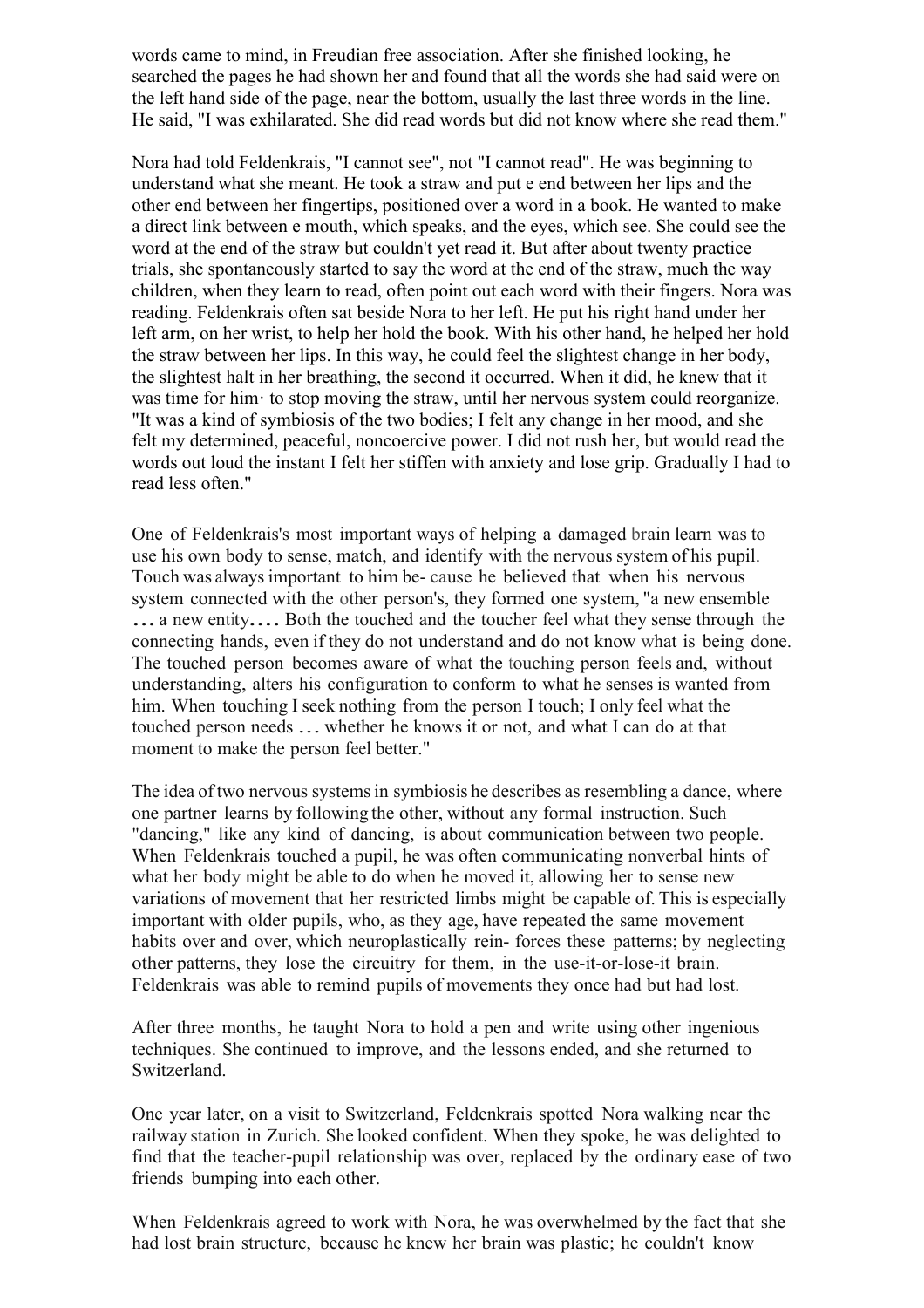words came to mind, in Freudian free association. After she finished looking, he searched the pages he had shown her and found that all the words she had said were on the left hand side of the page, near the bottom, usually the last three words in the line. He said, "I was exhilarated. She did read words but did not know where she read them."

Nora had told Feldenkrais, "I cannot see", not "I cannot read". He was beginning to understand what she meant. He took a straw and put e end between her lips and the other end between her fingertips, positioned over a word in a book. He wanted to make a direct link between e mouth, which speaks, and the eyes, which see. She could see the word at the end of the straw but couldn't yet read it. But after about twenty practice trials, she spontaneously started to say the word at the end of the straw, much the way children, when they learn to read, often point out each word with their fingers. Nora was reading. Feldenkrais often sat beside Nora to her left. He put his right hand under her left arm, on her wrist, to help her hold the book. With his other hand, he helped her hold the straw between her lips. In this way, he could feel the slightest change in her body, the slightest halt in her breathing, the second it occurred. When it did, he knew that it was time for him· to stop moving the straw, until her nervous system could reorganize. "It was a kind of symbiosis of the two bodies; I felt any change in her mood, and she felt my determined, peaceful, noncoercive power. I did not rush her, but would read the words out loud the instant I felt her stiffen with anxiety and lose grip. Gradually I had to read less often."

One of Feldenkrais's most important ways of helping a damaged brain learn was to use his own body to sense, match, and identify with the nervous system of his pupil. Touch was always important to him be- cause he believed that when his nervous system connected with the other person's, they formed one system, "a new ensemble ... a new entity.... Both the touched and the toucher feel what they sense through the connecting hands, even if they do not understand and do not know what is being done. The touched person becomes aware of what the touching person feels and, without understanding, alters his configuration to conform to what he senses is wanted from him. When touching I seek nothing from the person I touch; I only feel what the touched person needs ... whether he knows it or not, and what <sup>I</sup> can do at that moment to make the person feel better."

The idea of two nervous systems in symbiosis he describes as resembling a dance, where one partner learns by following the other, without any formal instruction. Such "dancing," like any kind of dancing, is about communication between two people. When Feldenkrais touched a pupil, he was often communicating nonverbal hints of what her body might be able to do when he moved it, allowing her to sense new variations of movement that her restricted limbs might be capable of. This is especially important with older pupils, who, as they age, have repeated the same movement habits over and over, which neuroplastically rein- forces these patterns; by neglecting other patterns, they lose the circuitry for them, in the use-it-or-lose-it brain. Feldenkrais was able to remind pupils of movements they once had but had lost.

After three months, he taught Nora to hold a pen and write using other ingenious techniques. She continued to improve, and the lessons ended, and she returned to Switzerland.

One year later, on a visit to Switzerland, Feldenkrais spotted Nora walking near the railway station in Zurich. She looked confident. When they spoke, he was delighted to find that the teacher-pupil relationship was over, replaced by the ordinary ease of two friends bumping into each other.

When Feldenkrais agreed to work with Nora, he was overwhelmed by the fact that she had lost brain structure, because he knew her brain was plastic; he couldn't know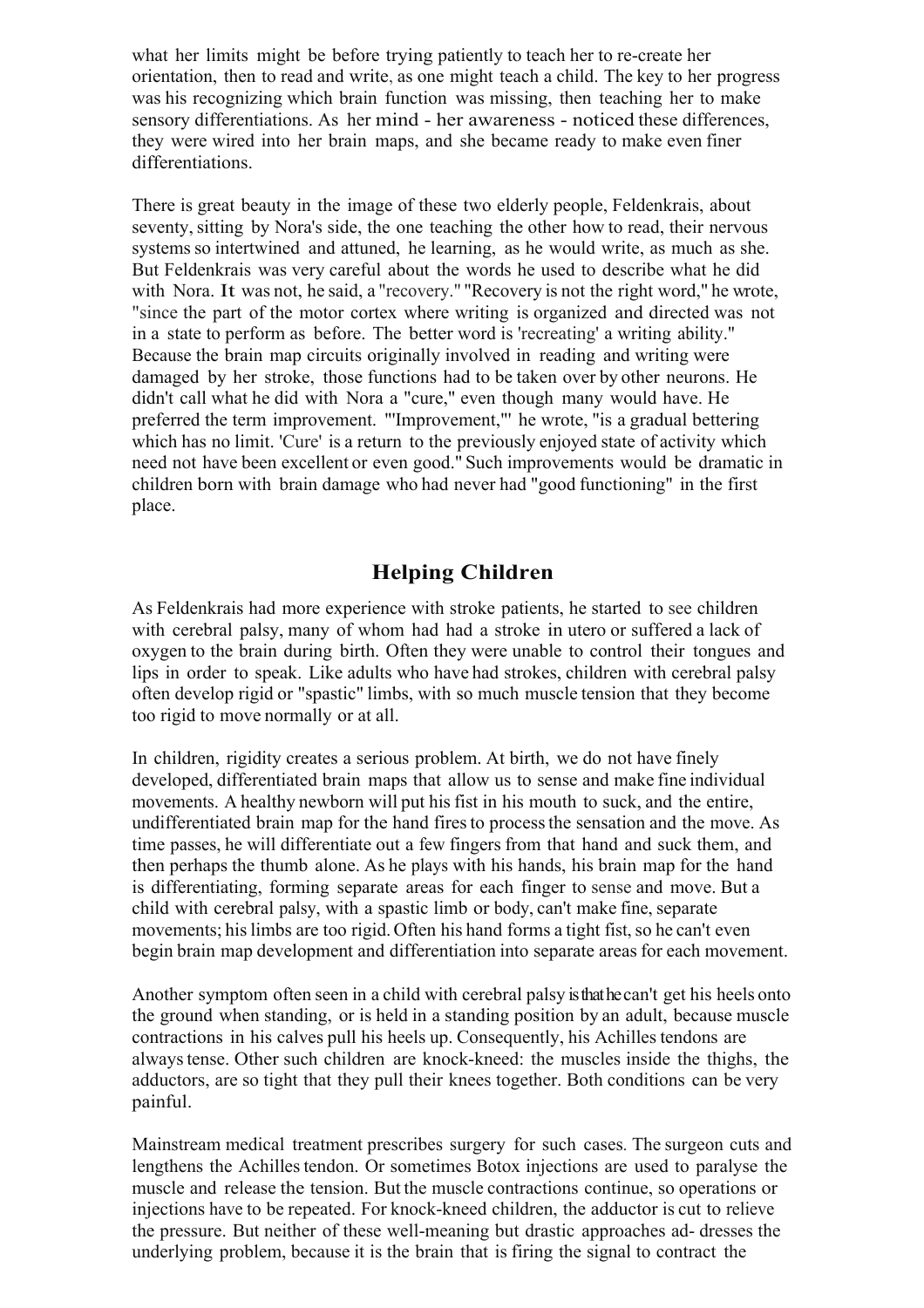what her limits might be before trying patiently to teach her to re-create her orientation, then to read and write, as one might teach a child. The key to her progress was his recognizing which brain function was missing, then teaching her to make sensory differentiations. As her mind - her awareness - noticed these differences, they were wired into her brain maps, and she became ready to make even finer differentiations.

There is great beauty in the image of these two elderly people, Feldenkrais, about seventy, sitting by Nora's side, the one teaching the other how to read, their nervous systems so intertwined and attuned, he learning, as he would write, as much as she. But Feldenkrais was very careful about the words he used to describe what he did with Nora. It was not, he said, a "recovery." "Recovery is not the right word," he wrote, "since the part of the motor cortex where writing is organized and directed was not in a state to perform as before. The better word is 'recreating' a writing ability." Because the brain map circuits originally involved in reading and writing were damaged by her stroke, those functions had to be taken over by other neurons. He didn't call what he did with Nora a "cure," even though many would have. He preferred the term improvement. "'Improvement,"' he wrote, "is a gradual bettering which has no limit. 'Cure' is a return to the previously enjoyed state of activity which need not have been excellent or even good." Such improvements would be dramatic in children born with brain damage who had never had "good functioning" in the first place.

## **Helping Children**

As Feldenkrais had more experience with stroke patients, he started to see children with cerebral palsy, many of whom had had a stroke in utero or suffered a lack of oxygen to the brain during birth. Often they were unable to control their tongues and lips in order to speak. Like adults who have had strokes, children with cerebral palsy often develop rigid or "spastic" limbs, with so much muscle tension that they become too rigid to move normally or at all.

In children, rigidity creates a serious problem. At birth, we do not have finely developed, differentiated brain maps that allow us to sense and make fine individual movements. A healthy newborn will put his fist in his mouth to suck, and the entire, undifferentiated brain map for the hand firesto processthe sensation and the move. As time passes, he will differentiate out a few fingers from that hand and suck them, and then perhaps the thumb alone. As he plays with his hands, his brain map for the hand is differentiating, forming separate areas for each finger to sense and move. But a child with cerebral palsy, with a spastic limb or body, can't make fine, separate movements; his limbs are too rigid. Often his hand forms a tight fist, so he can't even begin brain map development and differentiation into separate areas for each movement.

Another symptom often seen in a child with cerebral palsy is thathe can't get his heels onto the ground when standing, or is held in a standing position by an adult, because muscle contractions in his calves pull his heels up. Consequently, his Achillest endons are alwaystense. Other such children are knock-kneed: the muscles inside the thighs, the adductors, are so tight that they pull their knees together. Both conditions can be very painful.

Mainstream medical treatment prescribes surgery for such cases. The surgeon cuts and lengthens the Achillestendon. Or sometimes Botox injections are used to paralyse the muscle and release the tension. But the muscle contractions continue, so operations or injections have to be repeated. For knock-kneed children, the adductor is cut to relieve the pressure. But neither of these well-meaning but drastic approaches ad- dresses the underlying problem, because it is the brain that is firing the signal to contract the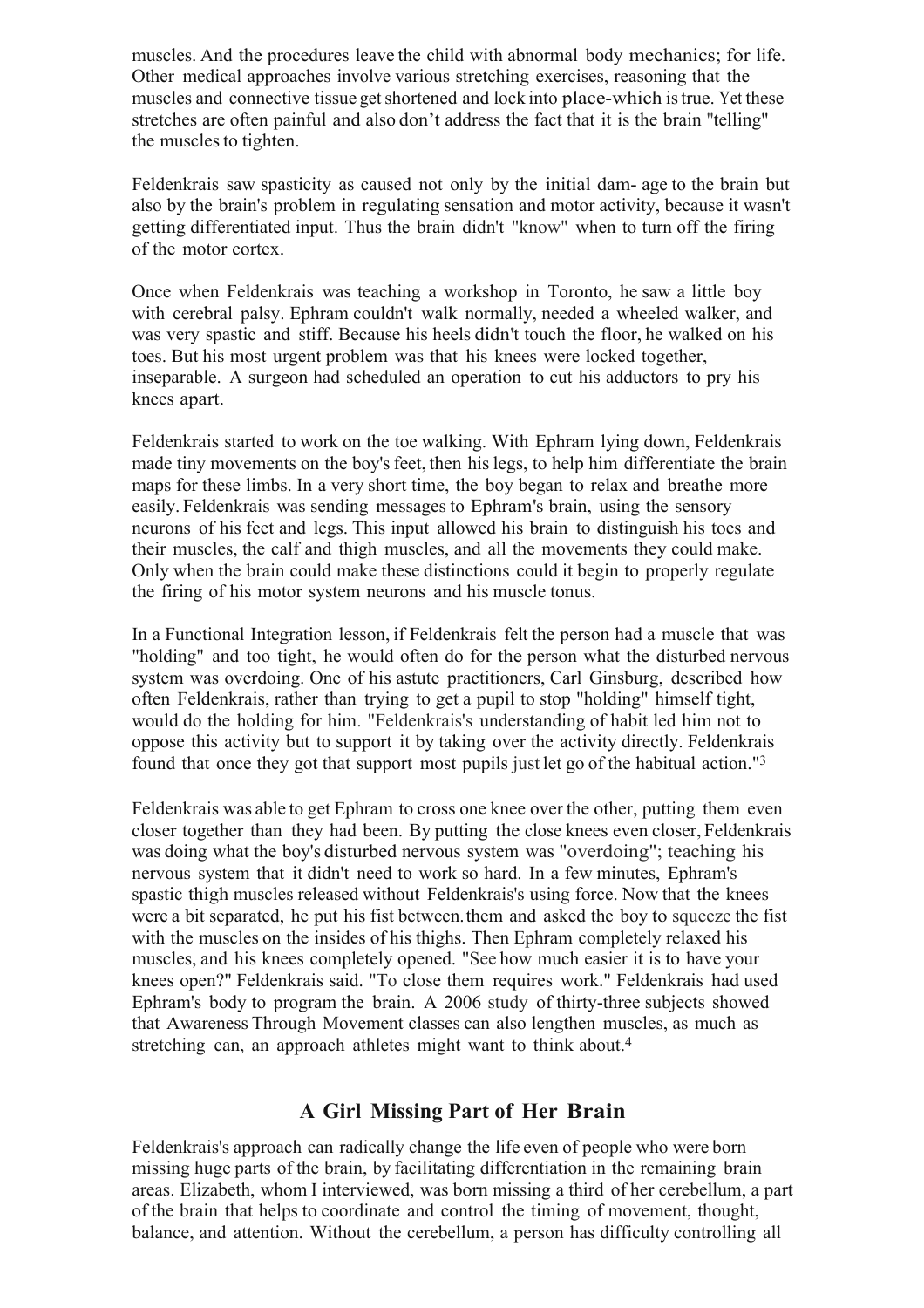muscles. And the procedures leave the child with abnormal body mechanics; for life. Other medical approaches involve various stretching exercises, reasoning that the muscles and connective tissue get shortened and lock into place-which is true. Yet these stretches are often painful and also don't address the fact that it is the brain "telling" the muscles to tighten.

Feldenkrais saw spasticity as caused not only by the initial dam- age to the brain but also by the brain's problem in regulating sensation and motor activity, because it wasn't getting differentiated input. Thus the brain didn't "know" when to turn off the firing of the motor cortex.

Once when Feldenkrais was teaching a workshop in Toronto, he saw a little boy with cerebral palsy. Ephram couldn't walk normally, needed a wheeled walker, and was very spastic and stiff. Because his heels didn't touch the floor, he walked on his toes. But his most urgent problem was that his knees were locked together, inseparable. A surgeon had scheduled an operation to cut his adductors to pry his knees apart.

Feldenkrais started to work on the toe walking. With Ephram lying down, Feldenkrais made tiny movements on the boy's feet, then his legs, to help him differentiate the brain maps for these limbs. In a very short time, the boy began to relax and breathe more easily. Feldenkrais was sending messages to Ephram's brain, using the sensory neurons of his feet and legs. This input allowed his brain to distinguish his toes and their muscles, the calf and thigh muscles, and all the movements they could make. Only when the brain could make these distinctions could it begin to properly regulate the firing of his motor system neurons and his muscle tonus.

In a Functional Integration lesson, if Feldenkrais felt the person had a muscle that was "holding" and too tight, he would often do for the person what the disturbed nervous system was overdoing. One of his astute practitioners, Carl Ginsburg, described how often Feldenkrais, rather than trying to get a pupil to stop "holding" himself tight, would do the holding for him. "Feldenkrais's understanding of habit led him not to oppose this activity but to support it by taking over the activity directly. Feldenkrais found that once they got that support most pupils just let go of the habitual action."3

Feldenkrais was able to get Ephram to cross one knee over the other, putting them even closer together than they had been. By putting the close knees even closer, Feldenkrais was doing what the boy's disturbed nervous system was "overdoing"; teaching his nervous system that it didn't need to work so hard. In a few minutes, Ephram's spastic thigh muscles released without Feldenkrais's using force. Now that the knees were a bit separated, he put his fist between.them and asked the boy to squeeze the fist with the muscles on the insides of his thighs. Then Ephram completely relaxed his muscles, and his knees completely opened. "See how much easier it is to have your knees open?" Feldenkrais said. "To close them requires work." Feldenkrais had used Ephram's body to program the brain. A 2006 study of thirty-three subjects showed that Awareness Through Movement classes can also lengthen muscles, as much as stretching can, an approach athletes might want to think about.<sup>4</sup>

### **A Girl Missing Part of Her Brain**

Feldenkrais's approach can radically change the life even of people who were born missing huge parts of the brain, by facilitating differentiation in the remaining brain areas. Elizabeth, whom I interviewed, was born missing a third of her cerebellum, a part of the brain that helps to coordinate and control the timing of movement, thought, balance, and attention. Without the cerebellum, a person has difficulty controlling all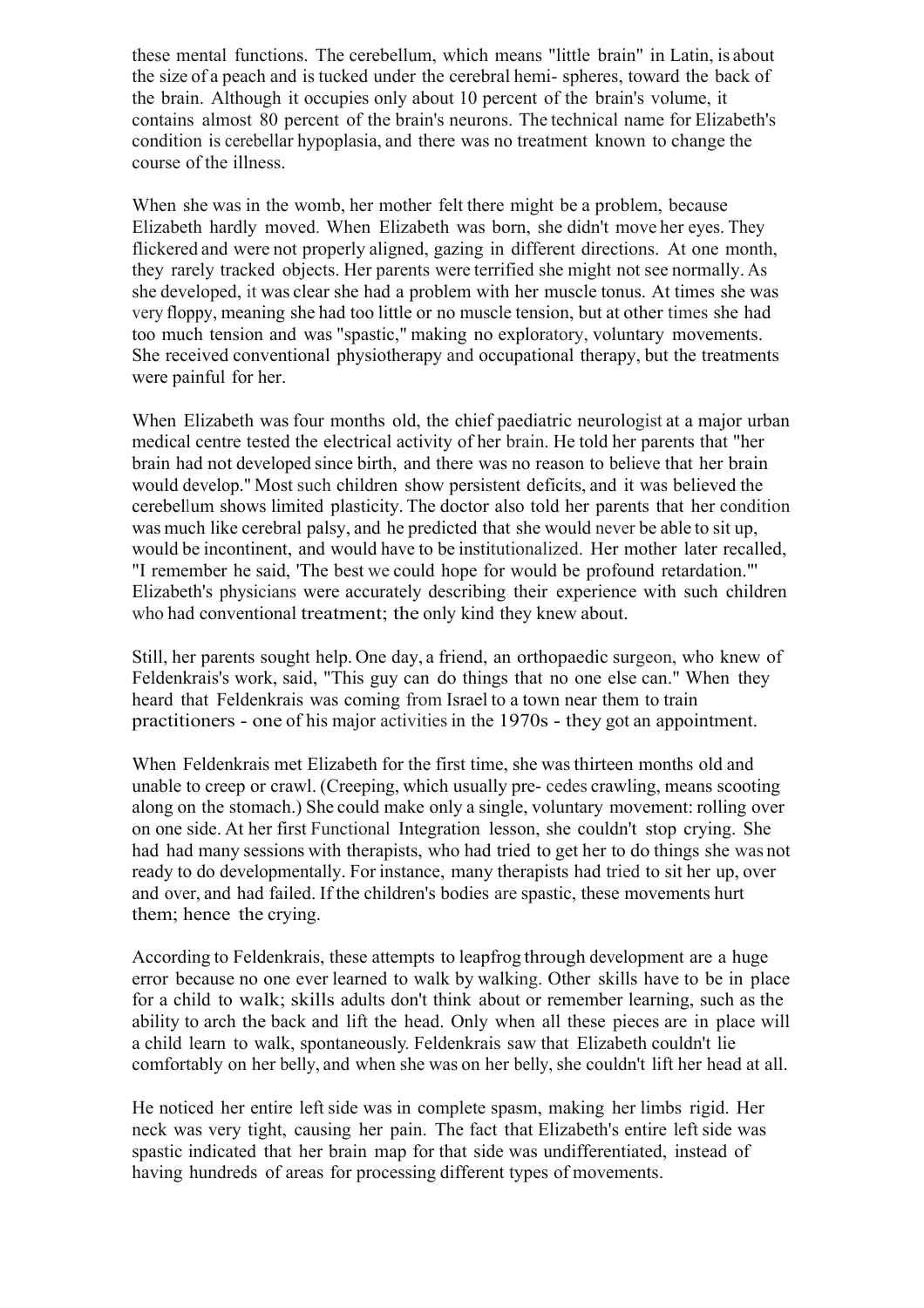these mental functions. The cerebellum, which means "little brain" in Latin, is about the size of a peach and is tucked under the cerebral hemi- spheres, toward the back of the brain. Although it occupies only about 10 percent of the brain's volume, it contains almost 80 percent of the brain's neurons. The technical name for Elizabeth's condition is cerebellar hypoplasia, and there was no treatment known to change the course of the illness.

When she was in the womb, her mother felt there might be a problem, because Elizabeth hardly moved. When Elizabeth was born, she didn't move her eyes. They flickered and were not properly aligned, gazing in different directions. At one month, they rarely tracked objects. Her parents were terrified she might not see normally. As she developed, it was clear she had a problem with her muscle tonus. At times she was very floppy, meaning she had too little or no muscle tension, but at other times she had too much tension and was "spastic," making no exploratory, voluntary movements. She received conventional physiotherapy and occupational therapy, but the treatments were painful for her.

When Elizabeth was four months old, the chief paediatric neurologist at a major urban medical centre tested the electrical activity of her brain. He told her parents that "her brain had not developed since birth, and there was no reason to believe that her brain would develop." Most such children show persistent deficits, and it was believed the cerebellum shows limited plasticity. The doctor also told her parents that her condition was much like cerebral palsy, and he predicted that she would never be able to sit up, would be incontinent, and would have to be institutionalized. Her mother later recalled, "I remember he said, 'The best we could hope for would be profound retardation."' Elizabeth's physicians were accurately describing their experience with such children who had conventional treatment; the only kind they knew about.

Still, her parents sought help. One day, a friend, an orthopaedic surgeon, who knew of Feldenkrais's work, said, "This guy can do things that no one else can." When they heard that Feldenkrais was coming from Israel to a town near them to train practitioners - one of his major activitiesin the 1970s - they got an appointment.

When Feldenkrais met Elizabeth for the first time, she wasthirteen months old and unable to creep or crawl. (Creeping, which usually pre- cedes crawling, means scooting along on the stomach.) She could make only a single, voluntary movement: rolling over on one side. At her first Functional Integration lesson, she couldn't stop crying. She had had many sessions with therapists, who had tried to get her to do things she was not ready to do developmentally. For instance, many therapists had tried to sit her up, over and over, and had failed. If the children's bodies are spastic, these movements hurt them; hence the crying.

According to Feldenkrais, these attempts to leapfrog through development are a huge error because no one ever learned to walk by walking. Other skills have to be in place for a child to walk; skills adults don't think about or remember learning, such as the ability to arch the back and lift the head. Only when all these pieces are in place will a child learn to walk, spontaneously. Feldenkrais saw that Elizabeth couldn't lie comfortably on her belly, and when she was on her belly, she couldn't lift her head at all.

He noticed her entire left side was in complete spasm, making her limbs rigid. Her neck was very tight, causing her pain. The fact that Elizabeth's entire left side was spastic indicated that her brain map for that side was undifferentiated, instead of having hundreds of areas for processing different types of movements.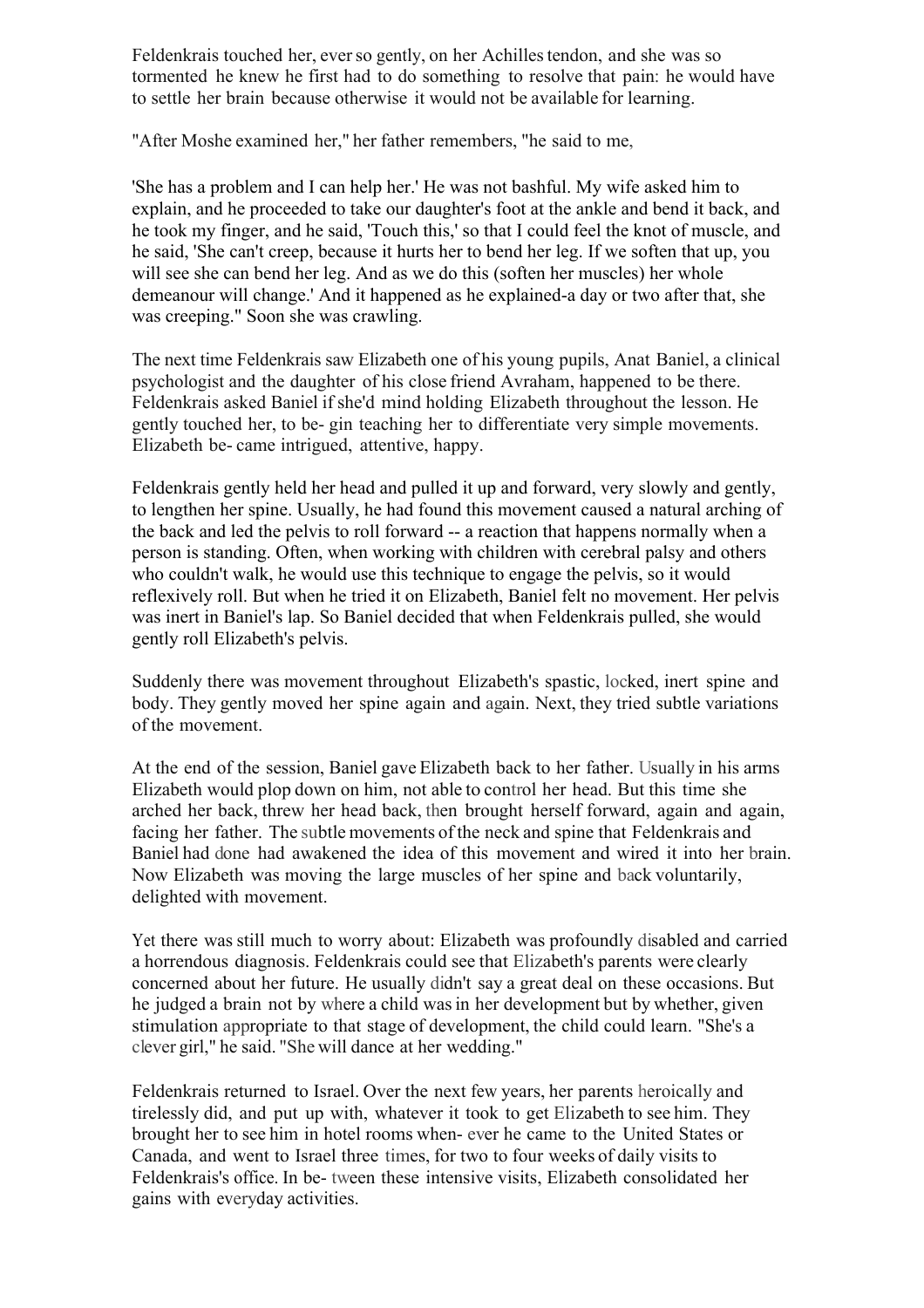Feldenkrais touched her, ever so gently, on her Achillestendon, and she was so tormented he knew he first had to do something to resolve that pain: he would have to settle her brain because otherwise it would not be available for learning.

"After Moshe examined her," her father remembers, "he said to me,

'She has a problem and I can help her.' He was not bashful. My wife asked him to explain, and he proceeded to take our daughter's foot at the ankle and bend it back, and he took my finger, and he said, 'Touch this,' so that I could feel the knot of muscle, and he said, 'She can't creep, because it hurts her to bend her leg. If we soften that up, you will see she can bend her leg. And as we do this (soften her muscles) her whole demeanour will change.' And it happened as he explained-a day or two after that, she was creeping." Soon she was crawling.

The next time Feldenkrais saw Elizabeth one of his young pupils, Anat Baniel, a clinical psychologist and the daughter of his close friend Avraham, happened to be there. Feldenkrais asked Baniel if she'd mind holding Elizabeth throughout the lesson. He gently touched her, to be- gin teaching her to differentiate very simple movements. Elizabeth be- came intrigued, attentive, happy.

Feldenkrais gently held her head and pulled it up and forward, very slowly and gently, to lengthen her spine. Usually, he had found this movement caused a natural arching of the back and led the pelvis to roll forward -- a reaction that happens normally when a person is standing. Often, when working with children with cerebral palsy and others who couldn't walk, he would use this technique to engage the pelvis, so it would reflexively roll. But when he tried it on Elizabeth, Baniel felt no movement. Her pelvis was inert in Baniel's lap. So Baniel decided that when Feldenkrais pulled, she would gently roll Elizabeth's pelvis.

Suddenly there was movement throughout Elizabeth's spastic, locked, inert spine and body. They gently moved her spine again and again. Next, they tried subtle variations of the movement.

At the end of the session, Baniel gave Elizabeth back to her father. Usually in his arms Elizabeth would plop down on him, not able to control her head. But this time she arched her back, threw her head back, then brought herself forward, again and again, facing her father. The subtle movements of the neck and spine that Feldenkrais and Baniel had done had awakened the idea of this movement and wired it into her brain. Now Elizabeth was moving the large muscles of her spine and back voluntarily, delighted with movement.

Yet there was still much to worry about: Elizabeth was profoundly disabled and carried a horrendous diagnosis. Feldenkrais could see that Elizabeth's parents were clearly concerned about her future. He usually didn't say a great deal on these occasions. But he judged a brain not by where a child wasin her development but by whether, given stimulation appropriate to that stage of development, the child could learn. "She's a clever girl," he said. "She will dance at her wedding."

Feldenkrais returned to Israel. Over the next few years, her parents heroically and tirelessly did, and put up with, whatever it took to get Elizabeth to see him. They brought her to see him in hotel rooms when- ever he came to the United States or Canada, and went to Israel three times, for two to four weeks of daily visits to Feldenkrais's office. In be- tween these intensive visits, Elizabeth consolidated her gains with everyday activities.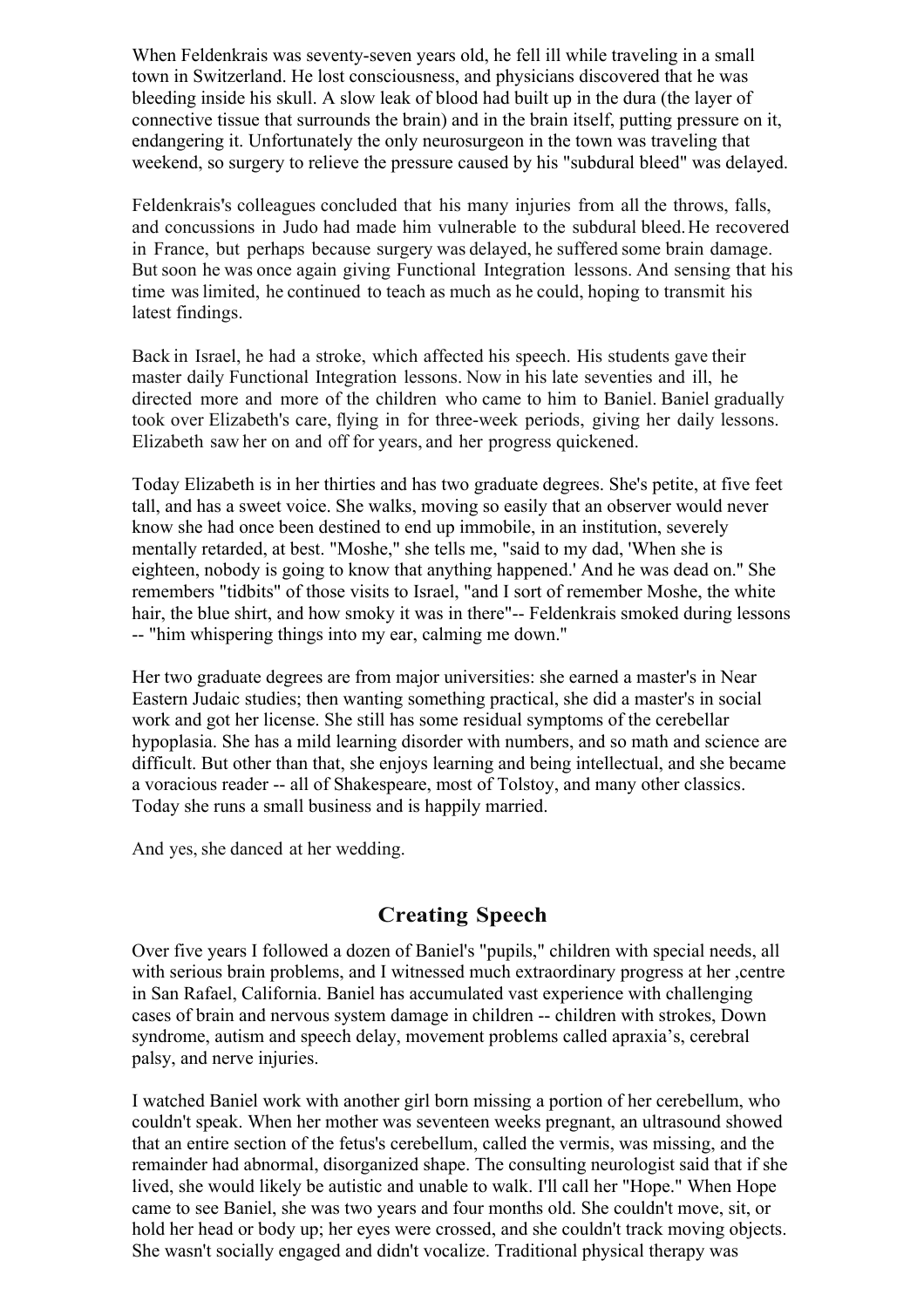When Feldenkrais was seventy-seven years old, he fell ill while traveling in a small town in Switzerland. He lost consciousness, and physicians discovered that he was bleeding inside his skull. A slow leak of blood had built up in the dura (the layer of connective tissue that surrounds the brain) and in the brain itself, putting pressure on it, endangering it. Unfortunately the only neurosurgeon in the town was traveling that weekend, so surgery to relieve the pressure caused by his "subdural bleed" was delayed.

Feldenkrais's colleagues concluded that his many injuries from all the throws, falls, and concussions in Judo had made him vulnerable to the subdural bleed.He recovered in France, but perhaps because surgery was delayed, he suffered some brain damage. But soon he was once again giving Functional Integration lessons. And sensing that his time waslimited, he continued to teach as much as he could, hoping to transmit his latest findings.

Back in Israel, he had a stroke, which affected his speech. His students gave their master daily Functional Integration lessons. Now in his late seventies and ill, he directed more and more of the children who came to him to Baniel. Baniel gradually took over Elizabeth's care, flying in for three-week periods, giving her daily lessons. Elizabeth saw her on and off for years, and her progress quickened.

Today Elizabeth is in her thirties and has two graduate degrees. She's petite, at five feet tall, and has a sweet voice. She walks, moving so easily that an observer would never know she had once been destined to end up immobile, in an institution, severely mentally retarded, at best. "Moshe," she tells me, "said to my dad, 'When she is eighteen, nobody is going to know that anything happened.' And he was dead on.'' She remembers "tidbits" of those visits to Israel, "and I sort of remember Moshe, the white hair, the blue shirt, and how smoky it was in there"-- Feldenkrais smoked during lessons -- "him whispering things into my ear, calming me down.''

Her two graduate degrees are from major universities: she earned a master's in Near Eastern Judaic studies; then wanting something practical, she did a master's in social work and got her license. She still has some residual symptoms of the cerebellar hypoplasia. She has a mild learning disorder with numbers, and so math and science are difficult. But other than that, she enjoys learning and being intellectual, and she became a voracious reader -- all of Shakespeare, most of Tolstoy, and many other classics. Today she runs a small business and is happily married.

And yes, she danced at her wedding.

## **Creating Speech**

Over five years I followed a dozen of Baniel's "pupils," children with special needs, all with serious brain problems, and I witnessed much extraordinary progress at her , centre in San Rafael, California. Baniel has accumulated vast experience with challenging cases of brain and nervous system damage in children -- children with strokes, Down syndrome, autism and speech delay, movement problems called apraxia's, cerebral palsy, and nerve injuries.

I watched Baniel work with another girl born missing a portion of her cerebellum, who couldn't speak. When her mother was seventeen weeks pregnant, an ultrasound showed that an entire section of the fetus's cerebellum, called the vermis, was missing, and the remainder had abnormal, disorganized shape. The consulting neurologist said that if she lived, she would likely be autistic and unable to walk. I'll call her "Hope." When Hope came to see Baniel, she was two years and four months old. She couldn't move, sit, or hold her head or body up; her eyes were crossed, and she couldn't track moving objects. She wasn't socially engaged and didn't vocalize. Traditional physical therapy was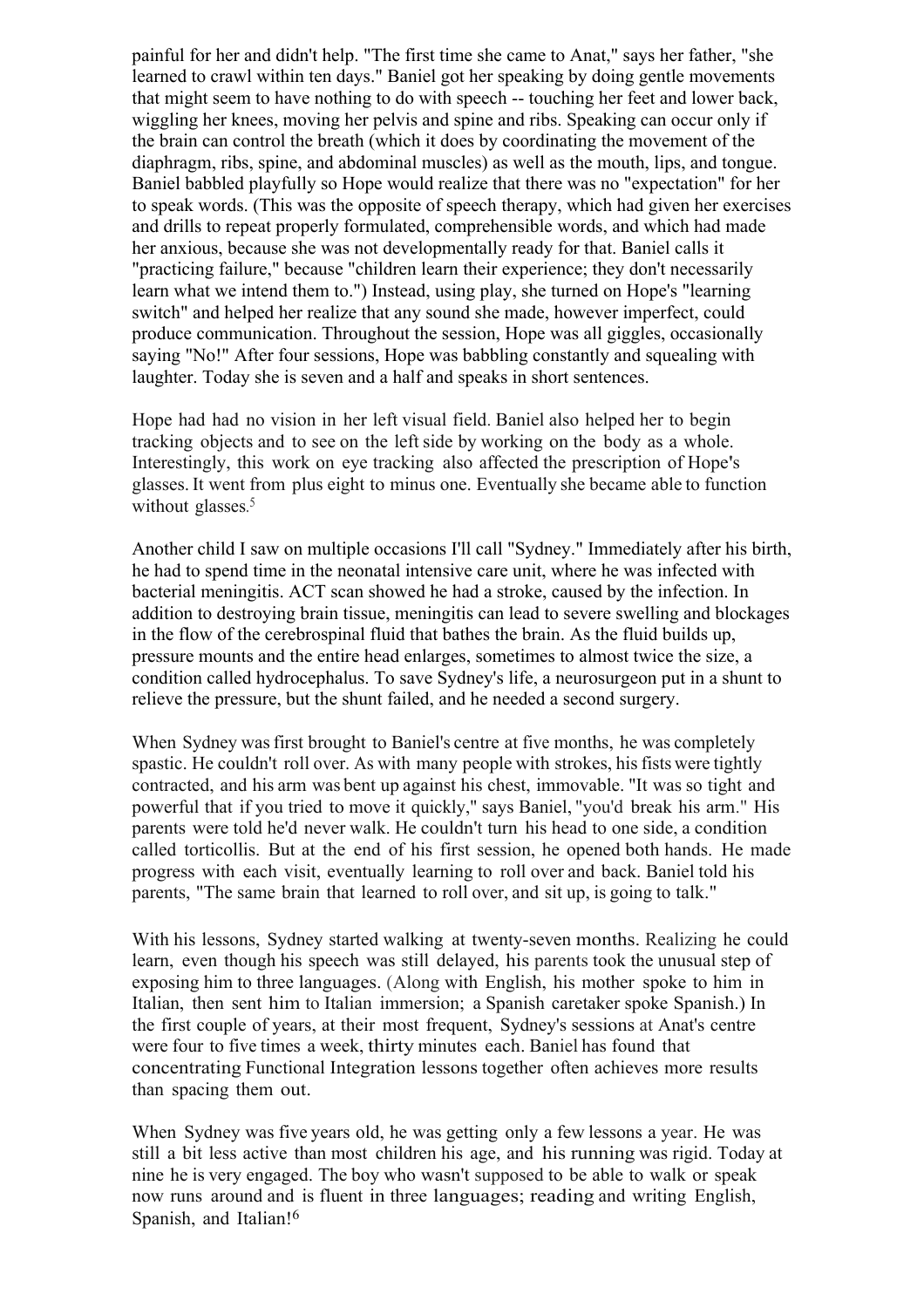painful for her and didn't help. "The first time she came to Anat," says her father, "she learned to crawl within ten days." Baniel got her speaking by doing gentle movements that might seem to have nothing to do with speech -- touching her feet and lower back, wiggling her knees, moving her pelvis and spine and ribs. Speaking can occur only if the brain can control the breath (which it does by coordinating the movement of the diaphragm, ribs, spine, and abdominal muscles) as well as the mouth, lips, and tongue. Baniel babbled playfully so Hope would realize that there was no "expectation" for her to speak words. (This was the opposite of speech therapy, which had given her exercises and drills to repeat properly formulated, comprehensible words, and which had made her anxious, because she was not developmentally ready for that. Baniel calls it "practicing failure," because "children learn their experience; they don't necessarily learn what we intend them to.") Instead, using play, she turned on Hope's "learning switch" and helped her realize that any sound she made, however imperfect, could produce communication. Throughout the session, Hope was all giggles, occasionally saying "No!" After four sessions, Hope was babbling constantly and squealing with laughter. Today she is seven and a half and speaks in short sentences.

Hope had had no vision in her left visual field. Baniel also helped her to begin tracking objects and to see on the left side by working on the body as a whole. Interestingly, this work on eye tracking also affected the prescription of Hope's glasses. It went from plus eight to minus one. Eventually she became able to function without glasses.<sup>5</sup>

Another child I saw on multiple occasions I'll call "Sydney." Immediately after his birth, he had to spend time in the neonatal intensive care unit, where he was infected with bacterial meningitis. ACT scan showed he had a stroke, caused by the infection. In addition to destroying brain tissue, meningitis can lead to severe swelling and blockages in the flow of the cerebrospinal fluid that bathes the brain. As the fluid builds up, pressure mounts and the entire head enlarges, sometimes to almost twice the size, a condition called hydrocephalus. To save Sydney's life, a neurosurgeon put in a shunt to relieve the pressure, but the shunt failed, and he needed a second surgery.

When Sydney was first brought to Baniel's centre at five months, he was completely spastic. He couldn't roll over. As with many people with strokes, his fists were tightly contracted, and his arm was bent up against his chest, immovable. "It was so tight and powerful that if you tried to move it quickly," says Baniel, "you'd break his arm." His parents were told he'd never walk. He couldn't turn his head to one side, a condition called torticollis. But at the end of his first session, he opened both hands. He made progress with each visit, eventually learning to roll over and back. Baniel told his parents, "The same brain that learned to roll over, and sit up, is going to talk."

With his lessons, Sydney started walking at twenty-seven months. Realizing he could learn, even though his speech was still delayed, his parents took the unusual step of exposing him to three languages. (Along with English, his mother spoke to him in Italian, then sent him to Italian immersion; a Spanish caretaker spoke Spanish.) In the first couple of years, at their most frequent, Sydney's sessions at Anat's centre were four to five times a week, thirty minutes each. Baniel has found that concentrating Functional Integration lessons together often achieves more results than spacing them out.

When Sydney was five years old, he was getting only a few lessons a year. He was still a bit less active than most children his age, and his running was rigid. Today at nine he is very engaged. The boy who wasn't supposed to be able to walk or speak now runs around and is fluent in three languages; reading and writing English, Spanish, and Italian!<sup>6</sup>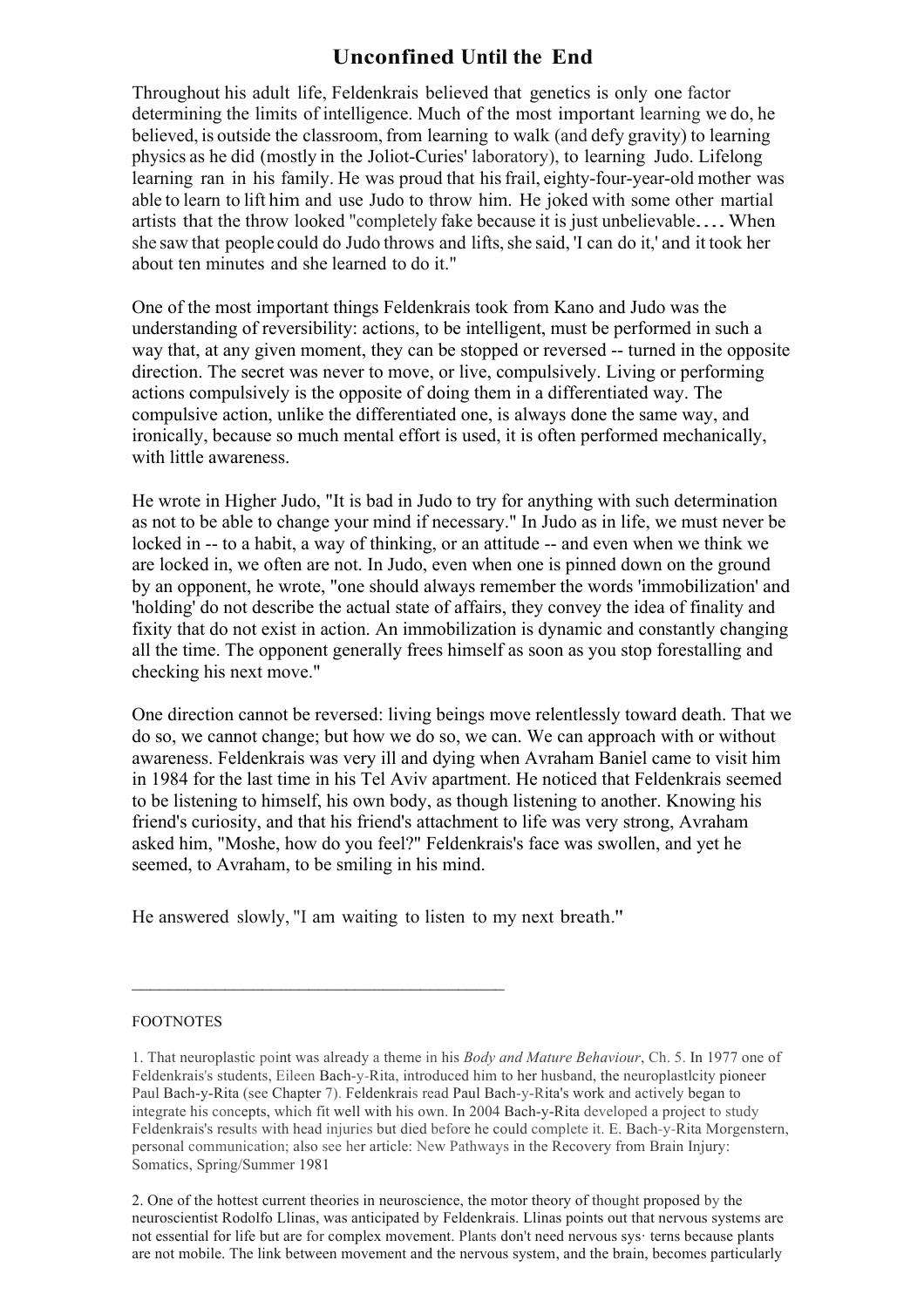# **Unconfined Until the End**

Throughout his adult life, Feldenkrais believed that genetics is only one factor determining the limits of intelligence. Much of the most important learning we do, he believed, is outside the classroom, from learning to walk (and defy gravity) to learning physics as he did (mostly in the Joliot-Curies' laboratory), to learning Judo. Lifelong learning ran in his family. He was proud that his frail, eighty-four-year-old mother was able to learn to lift him and use Judo to throw him. He joked with some other martial artists that the throw looked "completely fake because it is just unbelievable....When she saw that people could do Judo throws and lifts, she said, 'I can do it,' and it took her about ten minutes and she learned to do it."

One of the most important things Feldenkrais took from Kano and Judo was the understanding of reversibility: actions, to be intelligent, must be performed in such a way that, at any given moment, they can be stopped or reversed -- turned in the opposite direction. The secret was never to move, or live, compulsively. Living or performing actions compulsively is the opposite of doing them in a differentiated way. The compulsive action, unlike the differentiated one, is always done the same way, and ironically, because so much mental effort is used, it is often performed mechanically, with little awareness.

He wrote in Higher Judo, "It is bad in Judo to try for anything with such determination as not to be able to change your mind if necessary." In Judo as in life, we must never be locked in -- to a habit, a way of thinking, or an attitude -- and even when we think we are locked in, we often are not. In Judo, even when one is pinned down on the ground by an opponent, he wrote, "one should always remember the words 'immobilization' and 'holding' do not describe the actual state of affairs, they convey the idea of finality and fixity that do not exist in action. An immobilization is dynamic and constantly changing all the time. The opponent generally frees himself as soon as you stop forestalling and checking his next move."

One direction cannot be reversed: living beings move relentlessly toward death. That we do so, we cannot change; but how we do so, we can. We can approach with or without awareness. Feldenkrais was very ill and dying when Avraham Baniel came to visit him in 1984 for the last time in his Tel Aviv apartment. He noticed that Feldenkrais seemed to be listening to himself, his own body, as though listening to another. Knowing his friend's curiosity, and that his friend's attachment to life was very strong, Avraham asked him, "Moshe, how do you feel?" Feldenkrais's face was swollen, and yet he seemed, to Avraham, to be smiling in his mind.

He answered slowly, "I am waiting to listen to my next breath."

 $\mathcal{L}_\text{max}$ 

#### FOOTNOTES

2. One of the hottest current theories in neuroscience, the motor theory of thought proposed by the neuroscientist Rodolfo Llinas, was anticipated by Feldenkrais. Llinas points out that nervous systems are not essential for life but are for complex movement. Plants don't need nervous sys· terns because plants are not mobile. The link between movement and the nervous system, and the brain, becomes particularly

<sup>1.</sup> That neuroplastic point was already a theme in his *Body and Mature Behaviour*, Ch. 5. In 1977 one of Feldenkrais's students, Eileen Bach-y-Rita, introduced him to her husband, the neuroplastlcity pioneer Paul Bach-y-Rita (see Chapter 7). Feldenkrais read Paul Bach-y-Rita's work and actively began to integrate his concepts, which fit well with his own. In 2004 Bach-y-Rita developed a project to study Feldenkrais's results with head injuries but died before he could complete it. E. Bach-y-Rita Morgenstern, personal communication; also see her article: New Pathways in the Recovery from Brain Injury: Somatics, Spring/Summer 1981